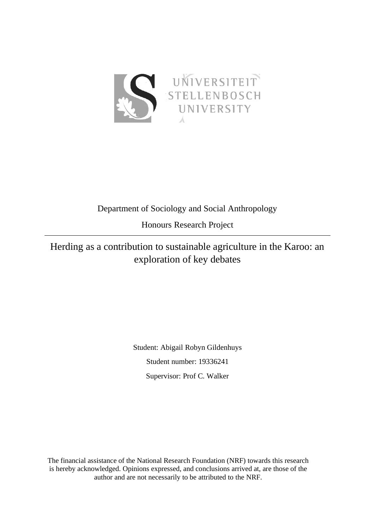

## Department of Sociology and Social Anthropology

Honours Research Project

# Herding as a contribution to sustainable agriculture in the Karoo: an exploration of key debates

Student: Abigail Robyn Gildenhuys Student number: 19336241 Supervisor: Prof C. Walker

The financial assistance of the National Research Foundation (NRF) towards this research is hereby acknowledged. Opinions expressed, and conclusions arrived at, are those of the author and are not necessarily to be attributed to the NRF.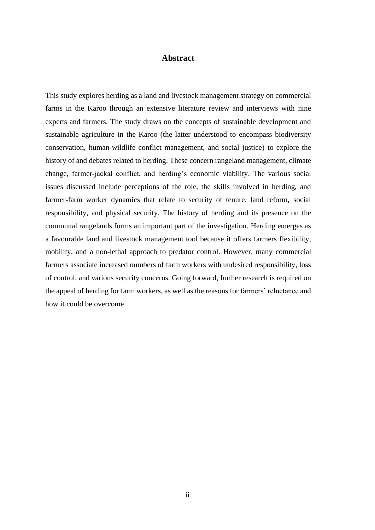### **Abstract**

<span id="page-1-0"></span>This study explores herding as a land and livestock management strategy on commercial farms in the Karoo through an extensive literature review and interviews with nine experts and farmers. The study draws on the concepts of sustainable development and sustainable agriculture in the Karoo (the latter understood to encompass biodiversity conservation, human-wildlife conflict management, and social justice) to explore the history of and debates related to herding. These concern rangeland management, climate change, farmer-jackal conflict, and herding's economic viability. The various social issues discussed include perceptions of the role, the skills involved in herding, and farmer-farm worker dynamics that relate to security of tenure, land reform, social responsibility, and physical security. The history of herding and its presence on the communal rangelands forms an important part of the investigation. Herding emerges as a favourable land and livestock management tool because it offers farmers flexibility, mobility, and a non-lethal approach to predator control. However, many commercial farmers associate increased numbers of farm workers with undesired responsibility, loss of control, and various security concerns. Going forward, further research is required on the appeal of herding for farm workers, as well as the reasons for farmers' reluctance and how it could be overcome.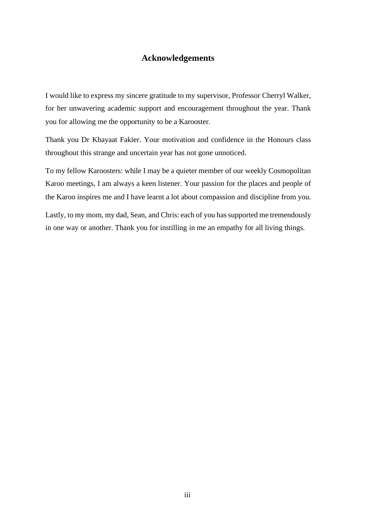## **Acknowledgements**

<span id="page-2-0"></span>I would like to express my sincere gratitude to my supervisor, Professor Cherryl Walker, for her unwavering academic support and encouragement throughout the year. Thank you for allowing me the opportunity to be a Karooster.

Thank you Dr Khayaat Fakier. Your motivation and confidence in the Honours class throughout this strange and uncertain year has not gone unnoticed.

To my fellow Karoosters: while I may be a quieter member of our weekly Cosmopolitan Karoo meetings, I am always a keen listener. Your passion for the places and people of the Karoo inspires me and I have learnt a lot about compassion and discipline from you.

Lastly, to my mom, my dad, Sean, and Chris: each of you has supported me tremendously in one way or another. Thank you for instilling in me an empathy for all living things.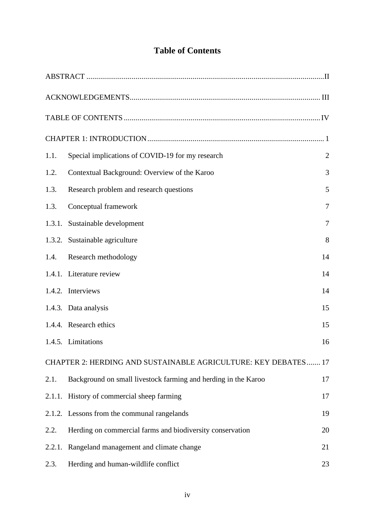## **Table of Contents**

<span id="page-3-0"></span>

| 1.1.   | Special implications of COVID-19 for my research               | $\overline{2}$ |
|--------|----------------------------------------------------------------|----------------|
| 1.2.   | Contextual Background: Overview of the Karoo                   | 3              |
| 1.3.   | Research problem and research questions                        | 5              |
| 1.3.   | Conceptual framework                                           | 7              |
|        | 1.3.1. Sustainable development                                 | 7              |
|        | 1.3.2. Sustainable agriculture                                 | 8              |
| 1.4.   | Research methodology                                           | 14             |
|        | 1.4.1. Literature review                                       | 14             |
|        | 1.4.2. Interviews                                              | 14             |
|        | 1.4.3. Data analysis                                           | 15             |
|        | 1.4.4. Research ethics                                         | 15             |
|        | 1.4.5. Limitations                                             | 16             |
|        | CHAPTER 2: HERDING AND SUSTAINABLE AGRICULTURE: KEY DEBATES 17 |                |
| 2.1.   | Background on small livestock farming and herding in the Karoo | 17             |
|        | 2.1.1. History of commercial sheep farming                     | 17             |
|        | 2.1.2. Lessons from the communal rangelands                    | 19             |
| 2.2.   | Herding on commercial farms and biodiversity conservation      | 20             |
| 2.2.1. | Rangeland management and climate change                        | 21             |
| 2.3.   | Herding and human-wildlife conflict                            | 23             |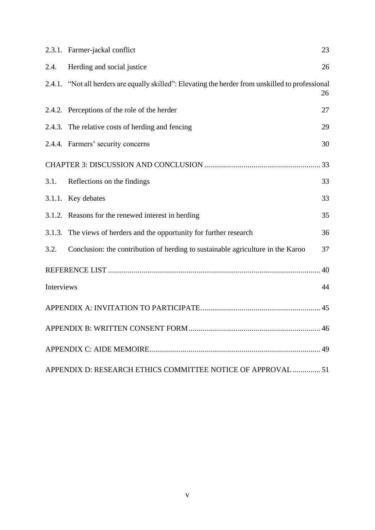|            | 2.3.1. Farmer-jackal conflict                                                                     | 23 |
|------------|---------------------------------------------------------------------------------------------------|----|
| 2.4.       | Herding and social justice                                                                        | 26 |
|            | 2.4.1. "Not all herders are equally skilled": Elevating the herder from unskilled to professional | 26 |
|            | 2.4.2. Perceptions of the role of the herder                                                      | 27 |
|            | 2.4.3. The relative costs of herding and fencing                                                  | 29 |
|            | 2.4.4. Farmers' security concerns                                                                 | 30 |
|            |                                                                                                   |    |
| 3.1.       | Reflections on the findings                                                                       | 33 |
|            | 3.1.1. Key debates                                                                                | 33 |
|            | 3.1.2. Reasons for the renewed interest in herding                                                | 35 |
|            | 3.1.3. The views of herders and the opportunity for further research                              | 36 |
| 3.2.       | Conclusion: the contribution of herding to sustainable agriculture in the Karoo                   | 37 |
|            |                                                                                                   | 40 |
| Interviews |                                                                                                   | 44 |
|            |                                                                                                   |    |
|            |                                                                                                   |    |
|            |                                                                                                   |    |
|            | APPENDIX D: RESEARCH ETHICS COMMITTEE NOTICE OF APPROVAL  51                                      |    |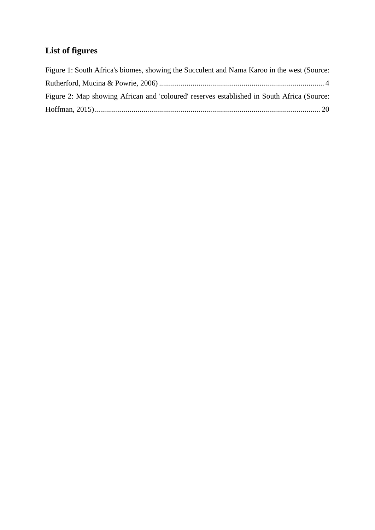# **List of figures**

| Figure 1: South Africa's biomes, showing the Succulent and Nama Karoo in the west (Source: |  |
|--------------------------------------------------------------------------------------------|--|
|                                                                                            |  |
| Figure 2: Map showing African and 'coloured' reserves established in South Africa (Source: |  |
|                                                                                            |  |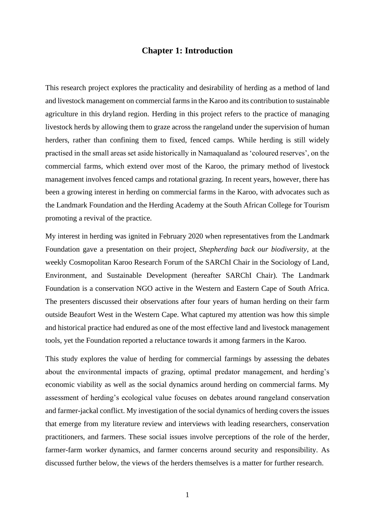## <span id="page-6-0"></span>**Chapter 1: Introduction**

This research project explores the practicality and desirability of herding as a method of land and livestock management on commercial farms in the Karoo and its contribution to sustainable agriculture in this dryland region. Herding in this project refers to the practice of managing livestock herds by allowing them to graze across the rangeland under the supervision of human herders, rather than confining them to fixed, fenced camps. While herding is still widely practised in the small areas set aside historically in Namaqualand as 'coloured reserves', on the commercial farms, which extend over most of the Karoo, the primary method of livestock management involves fenced camps and rotational grazing. In recent years, however, there has been a growing interest in herding on commercial farms in the Karoo, with advocates such as the Landmark Foundation and the Herding Academy at the South African College for Tourism promoting a revival of the practice.

My interest in herding was ignited in February 2020 when representatives from the Landmark Foundation gave a presentation on their project, *Shepherding back our biodiversity*, at the weekly Cosmopolitan Karoo Research Forum of the SARChI Chair in the Sociology of Land, Environment, and Sustainable Development (hereafter SARChI Chair). The Landmark Foundation is a conservation NGO active in the Western and Eastern Cape of South Africa. The presenters discussed their observations after four years of human herding on their farm outside Beaufort West in the Western Cape. What captured my attention was how this simple and historical practice had endured as one of the most effective land and livestock management tools, yet the Foundation reported a reluctance towards it among farmers in the Karoo.

This study explores the value of herding for commercial farmings by assessing the debates about the environmental impacts of grazing, optimal predator management, and herding's economic viability as well as the social dynamics around herding on commercial farms. My assessment of herding's ecological value focuses on debates around rangeland conservation and farmer-jackal conflict. My investigation of the social dynamics of herding covers the issues that emerge from my literature review and interviews with leading researchers, conservation practitioners, and farmers. These social issues involve perceptions of the role of the herder, farmer-farm worker dynamics, and farmer concerns around security and responsibility. As discussed further below, the views of the herders themselves is a matter for further research.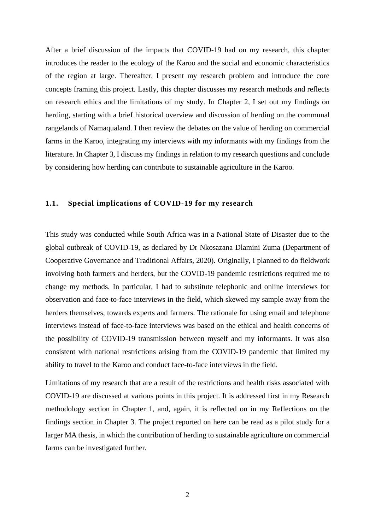After a brief discussion of the impacts that COVID-19 had on my research, this chapter introduces the reader to the ecology of the Karoo and the social and economic characteristics of the region at large. Thereafter, I present my research problem and introduce the core concepts framing this project. Lastly, this chapter discusses my research methods and reflects on research ethics and the limitations of my study. In Chapter 2, I set out my findings on herding, starting with a brief historical overview and discussion of herding on the communal rangelands of Namaqualand. I then review the debates on the value of herding on commercial farms in the Karoo, integrating my interviews with my informants with my findings from the literature. In Chapter 3, I discuss my findings in relation to my research questions and conclude by considering how herding can contribute to sustainable agriculture in the Karoo.

#### <span id="page-7-0"></span>**1.1. Special implications of COVID-19 for my research**

This study was conducted while South Africa was in a National State of Disaster due to the global outbreak of COVID-19, as declared by Dr Nkosazana Dlamini Zuma (Department of Cooperative Governance and Traditional Affairs, 2020). Originally, I planned to do fieldwork involving both farmers and herders, but the COVID-19 pandemic restrictions required me to change my methods. In particular, I had to substitute telephonic and online interviews for observation and face-to-face interviews in the field, which skewed my sample away from the herders themselves, towards experts and farmers. The rationale for using email and telephone interviews instead of face-to-face interviews was based on the ethical and health concerns of the possibility of COVID-19 transmission between myself and my informants. It was also consistent with national restrictions arising from the COVID-19 pandemic that limited my ability to travel to the Karoo and conduct face-to-face interviews in the field.

Limitations of my research that are a result of the restrictions and health risks associated with COVID-19 are discussed at various points in this project. It is addressed first in my Research methodology section in Chapter 1, and, again, it is reflected on in my Reflections on the findings section in Chapter 3. The project reported on here can be read as a pilot study for a larger MA thesis, in which the contribution of herding to sustainable agriculture on commercial farms can be investigated further.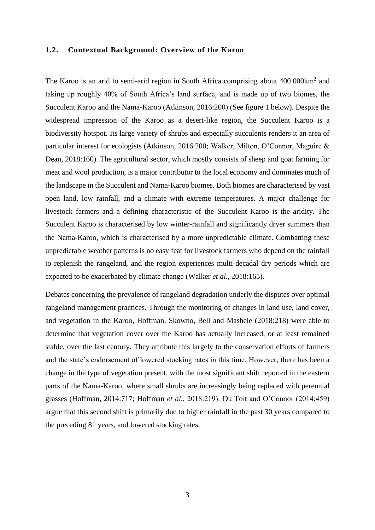#### <span id="page-8-0"></span>**1.2. Contextual Background: Overview of the Karoo**

The Karoo is an arid to semi-arid region in South Africa comprising about 400 000km<sup>2</sup> and taking up roughly 40% of South Africa's land surface, and is made up of two biomes, the Succulent Karoo and the Nama-Karoo (Atkinson, 2016:200) (See figure 1 below). Despite the widespread impression of the Karoo as a desert-like region, the Succulent Karoo is a biodiversity hotspot. Its large variety of shrubs and especially succulents renders it an area of particular interest for ecologists (Atkinson, 2016:200; Walker, Milton, O'Connor, Maguire & Dean, 2018:160). The agricultural sector, which mostly consists of sheep and goat farming for meat and wool production, is a major contributor to the local economy and dominates much of the landscape in the Succulent and Nama-Karoo biomes. Both biomes are characterised by vast open land, low rainfall, and a climate with extreme temperatures. A major challenge for livestock farmers and a defining characteristic of the Succulent Karoo is the aridity. The Succulent Karoo is characterised by low winter-rainfall and significantly dryer summers than the Nama-Karoo, which is characterised by a more unpredictable climate. Combatting these unpredictable weather patterns is no easy feat for livestock farmers who depend on the rainfall to replenish the rangeland, and the region experiences multi-decadal dry periods which are expected to be exacerbated by climate change (Walker *et al.*, 2018:165).

Debates concerning the prevalence of rangeland degradation underly the disputes over optimal rangeland management practices. Through the monitoring of changes in land use, land cover, and vegetation in the Karoo, Hoffman, Skowno, Bell and Mashele (2018:218) were able to determine that vegetation cover over the Karoo has actually increased, or at least remained stable, over the last century. They attribute this largely to the conservation efforts of farmers and the state's endorsement of lowered stocking rates in this time. However, there has been a change in the type of vegetation present, with the most significant shift reported in the eastern parts of the Nama-Karoo, where small shrubs are increasingly being replaced with perennial grasses (Hoffman, 2014:717; Hoffman *et al*., 2018:219). Du Toit and O'Connor (2014:459) argue that this second shift is primarily due to higher rainfall in the past 30 years compared to the preceding 81 years, and lowered stocking rates.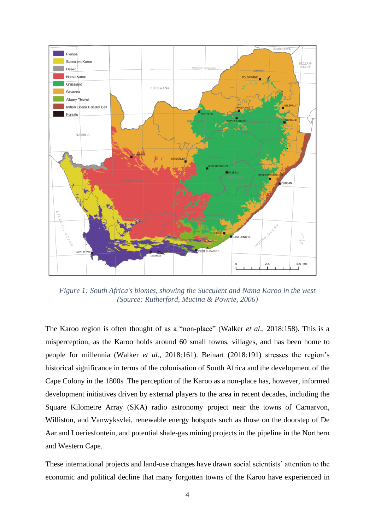

<span id="page-9-0"></span>*Figure 1: South Africa's biomes, showing the Succulent and Nama Karoo in the west (Source: Rutherford, Mucina & Powrie, 2006)*

The Karoo region is often thought of as a "non-place" (Walker *et al*., 2018:158). This is a misperception, as the Karoo holds around 60 small towns, villages, and has been home to people for millennia (Walker *et al*., 2018:161). Beinart (2018:191) stresses the region's historical significance in terms of the colonisation of South Africa and the development of the Cape Colony in the 1800s .The perception of the Karoo as a non-place has, however, informed development initiatives driven by external players to the area in recent decades, including the Square Kilometre Array (SKA) radio astronomy project near the towns of Carnarvon, Williston, and Vanwyksvlei, renewable energy hotspots such as those on the doorstep of De Aar and Loeriesfontein, and potential shale-gas mining projects in the pipeline in the Northern and Western Cape.

These international projects and land-use changes have drawn social scientists' attention to the economic and political decline that many forgotten towns of the Karoo have experienced in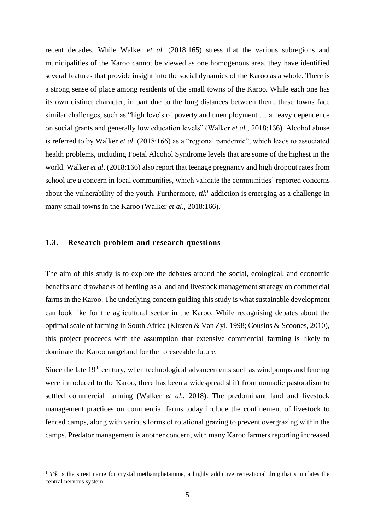recent decades. While Walker *et al*. (2018:165) stress that the various subregions and municipalities of the Karoo cannot be viewed as one homogenous area, they have identified several features that provide insight into the social dynamics of the Karoo as a whole. There is a strong sense of place among residents of the small towns of the Karoo. While each one has its own distinct character, in part due to the long distances between them, these towns face similar challenges, such as "high levels of poverty and unemployment … a heavy dependence on social grants and generally low education levels" (Walker *et al*., 2018:166). Alcohol abuse is referred to by Walker *et al.* (2018:166) as a "regional pandemic", which leads to associated health problems, including Foetal Alcohol Syndrome levels that are some of the highest in the world. Walker *et al*. (2018:166) also report that teenage pregnancy and high dropout rates from school are a concern in local communities, which validate the communities' reported concerns about the vulnerability of the youth. Furthermore,  $tik<sup>1</sup>$  addiction is emerging as a challenge in many small towns in the Karoo (Walker *et al*., 2018:166).

### <span id="page-10-0"></span>**1.3. Research problem and research questions**

The aim of this study is to explore the debates around the social, ecological, and economic benefits and drawbacks of herding as a land and livestock management strategy on commercial farms in the Karoo. The underlying concern guiding this study is what sustainable development can look like for the agricultural sector in the Karoo. While recognising debates about the optimal scale of farming in South Africa (Kirsten & Van Zyl, 1998; Cousins & Scoones, 2010), this project proceeds with the assumption that extensive commercial farming is likely to dominate the Karoo rangeland for the foreseeable future.

Since the late  $19<sup>th</sup>$  century, when technological advancements such as windpumps and fencing were introduced to the Karoo, there has been a widespread shift from nomadic pastoralism to settled commercial farming (Walker *et al*., 2018). The predominant land and livestock management practices on commercial farms today include the confinement of livestock to fenced camps, along with various forms of rotational grazing to prevent overgrazing within the camps. Predator management is another concern, with many Karoo farmers reporting increased

<sup>&</sup>lt;sup>1</sup> *Tik* is the street name for crystal methamphetamine, a highly addictive recreational drug that stimulates the central nervous system.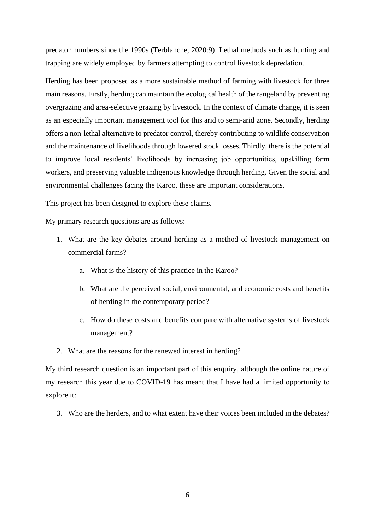predator numbers since the 1990s (Terblanche, 2020:9). Lethal methods such as hunting and trapping are widely employed by farmers attempting to control livestock depredation.

Herding has been proposed as a more sustainable method of farming with livestock for three main reasons. Firstly, herding can maintain the ecological health of the rangeland by preventing overgrazing and area-selective grazing by livestock. In the context of climate change, it is seen as an especially important management tool for this arid to semi-arid zone. Secondly, herding offers a non-lethal alternative to predator control, thereby contributing to wildlife conservation and the maintenance of livelihoods through lowered stock losses. Thirdly, there is the potential to improve local residents' livelihoods by increasing job opportunities, upskilling farm workers, and preserving valuable indigenous knowledge through herding. Given the social and environmental challenges facing the Karoo, these are important considerations.

This project has been designed to explore these claims.

My primary research questions are as follows:

- 1. What are the key debates around herding as a method of livestock management on commercial farms?
	- a. What is the history of this practice in the Karoo?
	- b. What are the perceived social, environmental, and economic costs and benefits of herding in the contemporary period?
	- c. How do these costs and benefits compare with alternative systems of livestock management?
- 2. What are the reasons for the renewed interest in herding?

My third research question is an important part of this enquiry, although the online nature of my research this year due to COVID-19 has meant that I have had a limited opportunity to explore it:

3. Who are the herders, and to what extent have their voices been included in the debates?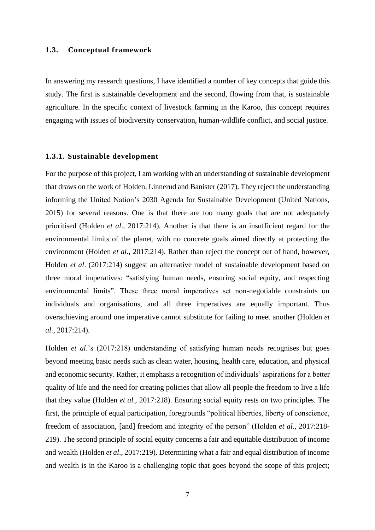#### <span id="page-12-0"></span>**1.3. Conceptual framework**

In answering my research questions, I have identified a number of key concepts that guide this study. The first is sustainable development and the second, flowing from that, is sustainable agriculture. In the specific context of livestock farming in the Karoo, this concept requires engaging with issues of biodiversity conservation, human-wildlife conflict, and social justice.

#### <span id="page-12-1"></span>**1.3.1. Sustainable development**

For the purpose of this project, I am working with an understanding of sustainable development that draws on the work of Holden, Linnerud and Banister (2017). They reject the understanding informing the United Nation's 2030 Agenda for Sustainable Development (United Nations, 2015) for several reasons. One is that there are too many goals that are not adequately prioritised (Holden *et al*., 2017:214). Another is that there is an insufficient regard for the environmental limits of the planet, with no concrete goals aimed directly at protecting the environment (Holden *et al*., 2017:214). Rather than reject the concept out of hand, however, Holden *et al*. (2017:214) suggest an alternative model of sustainable development based on three moral imperatives: "satisfying human needs, ensuring social equity, and respecting environmental limits". These three moral imperatives set non-negotiable constraints on individuals and organisations, and all three imperatives are equally important. Thus overachieving around one imperative cannot substitute for failing to meet another (Holden *et al*., 2017:214).

Holden *et al*.'s (2017:218) understanding of satisfying human needs recognises but goes beyond meeting basic needs such as clean water, housing, health care, education, and physical and economic security. Rather, it emphasis a recognition of individuals' aspirations for a better quality of life and the need for creating policies that allow all people the freedom to live a life that they value (Holden *et al*., 2017:218). Ensuring social equity rests on two principles. The first, the principle of equal participation, foregrounds "political liberties, liberty of conscience, freedom of association, [and] freedom and integrity of the person" (Holden *et al*., 2017:218- 219). The second principle of social equity concerns a fair and equitable distribution of income and wealth (Holden *et al*., 2017:219). Determining what a fair and equal distribution of income and wealth is in the Karoo is a challenging topic that goes beyond the scope of this project;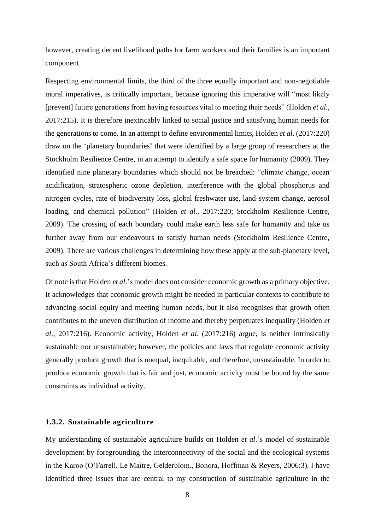however, creating decent livelihood paths for farm workers and their families is an important component.

Respecting environmental limits, the third of the three equally important and non-negotiable moral imperatives, is critically important, because ignoring this imperative will "most likely [prevent] future generations from having resources vital to meeting their needs" (Holden *et al*., 2017:215). It is therefore inextricably linked to social justice and satisfying human needs for the generations to come. In an attempt to define environmental limits, Holden *et al*. (2017:220) draw on the 'planetary boundaries' that were identified by a large group of researchers at the Stockholm Resilience Centre, in an attempt to identify a safe space for humanity (2009). They identified nine planetary boundaries which should not be breached: "climate change, ocean acidification, stratospheric ozone depletion, interference with the global phosphorus and nitrogen cycles, rate of biodiversity loss, global freshwater use, land-system change, aerosol loading, and chemical pollution" (Holden *et al*., 2017:220; Stockholm Resilience Centre, 2009). The crossing of each boundary could make earth less safe for humanity and take us further away from our endeavours to satisfy human needs (Stockholm Resilience Centre, 2009). There are various challenges in determining how these apply at the sub-planetary level, such as South Africa's different biomes.

Of note is that Holden *et al*.'s model does not consider economic growth as a primary objective. It acknowledges that economic growth might be needed in particular contexts to contribute to advancing social equity and meeting human needs, but it also recognises that growth often contributes to the uneven distribution of income and thereby perpetuates inequality (Holden *et al*., 2017:216). Economic activity, Holden *et al*. (2017:216) argue, is neither intrinsically sustainable nor unsustainable; however, the policies and laws that regulate economic activity generally produce growth that is unequal, inequitable, and therefore, unsustainable. In order to produce economic growth that is fair and just, economic activity must be bound by the same constraints as individual activity.

#### <span id="page-13-0"></span>**1.3.2. Sustainable agriculture**

My understanding of sustainable agriculture builds on Holden *et al*.'s model of sustainable development by foregrounding the interconnectivity of the social and the ecological systems in the Karoo (O'Farrell, Le Maitre, Gelderblom., Bonora, Hoffman & Reyers, 2006:3). I have identified three issues that are central to my construction of sustainable agriculture in the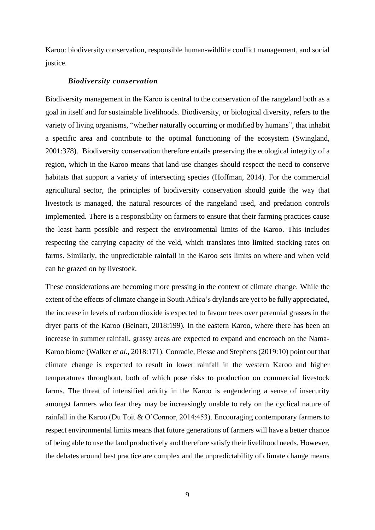Karoo: biodiversity conservation, responsible human-wildlife conflict management, and social justice.

#### *Biodiversity conservation*

Biodiversity management in the Karoo is central to the conservation of the rangeland both as a goal in itself and for sustainable livelihoods. Biodiversity, or biological diversity, refers to the variety of living organisms, "whether naturally occurring or modified by humans", that inhabit a specific area and contribute to the optimal functioning of the ecosystem (Swingland, 2001:378). Biodiversity conservation therefore entails preserving the ecological integrity of a region, which in the Karoo means that land-use changes should respect the need to conserve habitats that support a variety of intersecting species (Hoffman, 2014). For the commercial agricultural sector, the principles of biodiversity conservation should guide the way that livestock is managed, the natural resources of the rangeland used, and predation controls implemented. There is a responsibility on farmers to ensure that their farming practices cause the least harm possible and respect the environmental limits of the Karoo. This includes respecting the carrying capacity of the veld, which translates into limited stocking rates on farms. Similarly, the unpredictable rainfall in the Karoo sets limits on where and when veld can be grazed on by livestock.

These considerations are becoming more pressing in the context of climate change. While the extent of the effects of climate change in South Africa's drylands are yet to be fully appreciated, the increase in levels of carbon dioxide is expected to favour trees over perennial grasses in the dryer parts of the Karoo (Beinart, 2018:199). In the eastern Karoo, where there has been an increase in summer rainfall, grassy areas are expected to expand and encroach on the Nama-Karoo biome (Walker *et al*., 2018:171). Conradie, Piesse and Stephens (2019:10) point out that climate change is expected to result in lower rainfall in the western Karoo and higher temperatures throughout, both of which pose risks to production on commercial livestock farms. The threat of intensified aridity in the Karoo is engendering a sense of insecurity amongst farmers who fear they may be increasingly unable to rely on the cyclical nature of rainfall in the Karoo (Du Toit & O'Connor, 2014:453). Encouraging contemporary farmers to respect environmental limits means that future generations of farmers will have a better chance of being able to use the land productively and therefore satisfy their livelihood needs. However, the debates around best practice are complex and the unpredictability of climate change means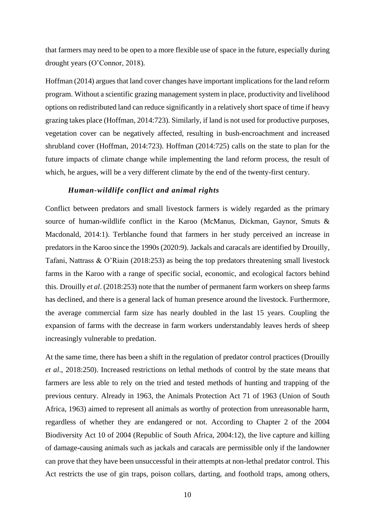that farmers may need to be open to a more flexible use of space in the future, especially during drought years (O'Connor, 2018).

Hoffman (2014) argues that land cover changes have important implications for the land reform program. Without a scientific grazing management system in place, productivity and livelihood options on redistributed land can reduce significantly in a relatively short space of time if heavy grazing takes place (Hoffman, 2014:723). Similarly, if land is not used for productive purposes, vegetation cover can be negatively affected, resulting in bush-encroachment and increased shrubland cover (Hoffman, 2014:723). Hoffman (2014:725) calls on the state to plan for the future impacts of climate change while implementing the land reform process, the result of which, he argues, will be a very different climate by the end of the twenty-first century.

## *Human-wildlife conflict and animal rights*

Conflict between predators and small livestock farmers is widely regarded as the primary source of human-wildlife conflict in the Karoo (McManus, Dickman, Gaynor, Smuts & Macdonald, 2014:1). Terblanche found that farmers in her study perceived an increase in predators in the Karoo since the 1990s (2020:9). Jackals and caracals are identified by Drouilly, Tafani, Nattrass & O'Riain (2018:253) as being the top predators threatening small livestock farms in the Karoo with a range of specific social, economic, and ecological factors behind this. Drouilly *et al*. (2018:253) note that the number of permanent farm workers on sheep farms has declined, and there is a general lack of human presence around the livestock. Furthermore, the average commercial farm size has nearly doubled in the last 15 years. Coupling the expansion of farms with the decrease in farm workers understandably leaves herds of sheep increasingly vulnerable to predation.

At the same time, there has been a shift in the regulation of predator control practices (Drouilly *et al*., 2018:250). Increased restrictions on lethal methods of control by the state means that farmers are less able to rely on the tried and tested methods of hunting and trapping of the previous century. Already in 1963, the Animals Protection Act 71 of 1963 (Union of South Africa, 1963) aimed to represent all animals as worthy of protection from unreasonable harm, regardless of whether they are endangered or not. According to Chapter 2 of the 2004 Biodiversity Act 10 of 2004 (Republic of South Africa, 2004:12), the live capture and killing of damage-causing animals such as jackals and caracals are permissible only if the landowner can prove that they have been unsuccessful in their attempts at non-lethal predator control. This Act restricts the use of gin traps, poison collars, darting, and foothold traps, among others,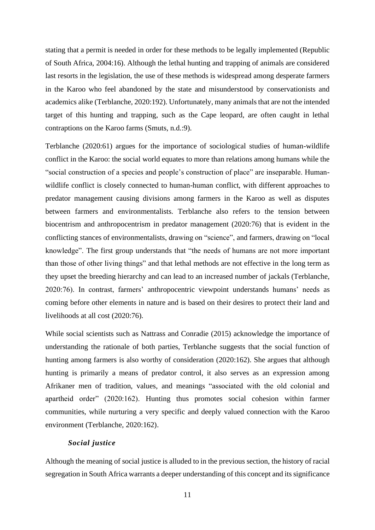stating that a permit is needed in order for these methods to be legally implemented (Republic of South Africa, 2004:16). Although the lethal hunting and trapping of animals are considered last resorts in the legislation, the use of these methods is widespread among desperate farmers in the Karoo who feel abandoned by the state and misunderstood by conservationists and academics alike (Terblanche, 2020:192). Unfortunately, many animals that are not the intended target of this hunting and trapping, such as the Cape leopard, are often caught in lethal contraptions on the Karoo farms (Smuts, n.d.:9).

Terblanche (2020:61) argues for the importance of sociological studies of human-wildlife conflict in the Karoo: the social world equates to more than relations among humans while the "social construction of a species and people's construction of place" are inseparable. Humanwildlife conflict is closely connected to human-human conflict, with different approaches to predator management causing divisions among farmers in the Karoo as well as disputes between farmers and environmentalists. Terblanche also refers to the tension between biocentrism and anthropocentrism in predator management (2020:76) that is evident in the conflicting stances of environmentalists, drawing on "science", and farmers, drawing on "local knowledge". The first group understands that "the needs of humans are not more important than those of other living things" and that lethal methods are not effective in the long term as they upset the breeding hierarchy and can lead to an increased number of jackals (Terblanche, 2020:76). In contrast, farmers' anthropocentric viewpoint understands humans' needs as coming before other elements in nature and is based on their desires to protect their land and livelihoods at all cost (2020:76).

While social scientists such as Nattrass and Conradie (2015) acknowledge the importance of understanding the rationale of both parties, Terblanche suggests that the social function of hunting among farmers is also worthy of consideration (2020:162). She argues that although hunting is primarily a means of predator control, it also serves as an expression among Afrikaner men of tradition, values, and meanings "associated with the old colonial and apartheid order" (2020:162). Hunting thus promotes social cohesion within farmer communities, while nurturing a very specific and deeply valued connection with the Karoo environment (Terblanche, 2020:162).

#### *Social justice*

Although the meaning of social justice is alluded to in the previous section, the history of racial segregation in South Africa warrants a deeper understanding of this concept and its significance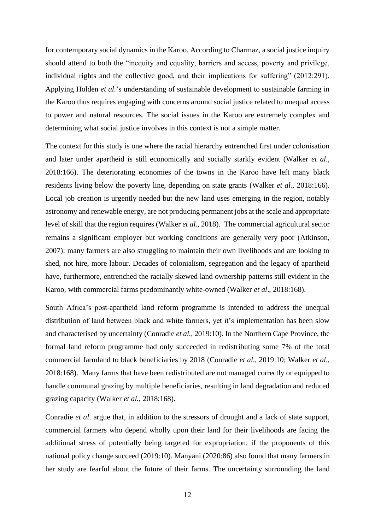for contemporary social dynamics in the Karoo. According to Charmaz, a social justice inquiry should attend to both the "inequity and equality, barriers and access, poverty and privilege, individual rights and the collective good, and their implications for suffering" (2012:291). Applying Holden *et al*.'s understanding of sustainable development to sustainable farming in the Karoo thus requires engaging with concerns around social justice related to unequal access to power and natural resources. The social issues in the Karoo are extremely complex and determining what social justice involves in this context is not a simple matter.

The context for this study is one where the racial hierarchy entrenched first under colonisation and later under apartheid is still economically and socially starkly evident (Walker *et al*., 2018:166). The deteriorating economies of the towns in the Karoo have left many black residents living below the poverty line, depending on state grants (Walker *et al*., 2018:166). Local job creation is urgently needed but the new land uses emerging in the region, notably astronomy and renewable energy, are not producing permanent jobs at the scale and appropriate level of skill that the region requires (Walker *et al*., 2018). The commercial agricultural sector remains a significant employer but working conditions are generally very poor (Atkinson, 2007); many farmers are also struggling to maintain their own livelihoods and are looking to shed, not hire, more labour. Decades of colonialism, segregation and the legacy of apartheid have, furthermore, entrenched the racially skewed land ownership patterns still evident in the Karoo, with commercial farms predominantly white-owned (Walker *et al*., 2018:168).

South Africa's post-apartheid land reform programme is intended to address the unequal distribution of land between black and white farmers, yet it's implementation has been slow and characterised by uncertainty (Conradie *et al*., 2019:10). In the Northern Cape Province, the formal land reform programme had only succeeded in redistributing some 7% of the total commercial farmland to black beneficiaries by 2018 (Conradie *et al*., 2019:10; Walker *et al*., 2018:168). Many farms that have been redistributed are not managed correctly or equipped to handle communal grazing by multiple beneficiaries, resulting in land degradation and reduced grazing capacity (Walker *et al.,* 2018:168).

Conradie *et al*. argue that, in addition to the stressors of drought and a lack of state support, commercial farmers who depend wholly upon their land for their livelihoods are facing the additional stress of potentially being targeted for expropriation, if the proponents of this national policy change succeed (2019:10). Manyani (2020:86) also found that many farmers in her study are fearful about the future of their farms. The uncertainty surrounding the land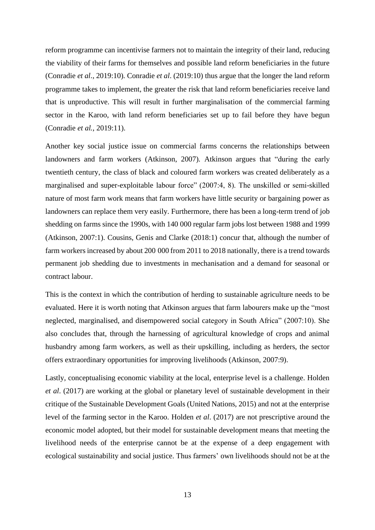reform programme can incentivise farmers not to maintain the integrity of their land, reducing the viability of their farms for themselves and possible land reform beneficiaries in the future (Conradie *et al*., 2019:10). Conradie *et al*. (2019:10) thus argue that the longer the land reform programme takes to implement, the greater the risk that land reform beneficiaries receive land that is unproductive. This will result in further marginalisation of the commercial farming sector in the Karoo, with land reform beneficiaries set up to fail before they have begun (Conradie *et al.*, 2019:11).

Another key social justice issue on commercial farms concerns the relationships between landowners and farm workers (Atkinson, 2007). Atkinson argues that "during the early twentieth century, the class of black and coloured farm workers was created deliberately as a marginalised and super-exploitable labour force" (2007:4, 8). The unskilled or semi-skilled nature of most farm work means that farm workers have little security or bargaining power as landowners can replace them very easily. Furthermore, there has been a long-term trend of job shedding on farms since the 1990s, with 140 000 regular farm jobs lost between 1988 and 1999 (Atkinson, 2007:1). Cousins, Genis and Clarke (2018:1) concur that, although the number of farm workers increased by about 200 000 from 2011 to 2018 nationally, there is a trend towards permanent job shedding due to investments in mechanisation and a demand for seasonal or contract labour.

This is the context in which the contribution of herding to sustainable agriculture needs to be evaluated. Here it is worth noting that Atkinson argues that farm labourers make up the "most neglected, marginalised, and disempowered social category in South Africa" (2007:10). She also concludes that, through the harnessing of agricultural knowledge of crops and animal husbandry among farm workers, as well as their upskilling, including as herders, the sector offers extraordinary opportunities for improving livelihoods (Atkinson, 2007:9).

Lastly, conceptualising economic viability at the local, enterprise level is a challenge. Holden *et al*. (2017) are working at the global or planetary level of sustainable development in their critique of the Sustainable Development Goals (United Nations, 2015) and not at the enterprise level of the farming sector in the Karoo. Holden *et al*. (2017) are not prescriptive around the economic model adopted, but their model for sustainable development means that meeting the livelihood needs of the enterprise cannot be at the expense of a deep engagement with ecological sustainability and social justice. Thus farmers' own livelihoods should not be at the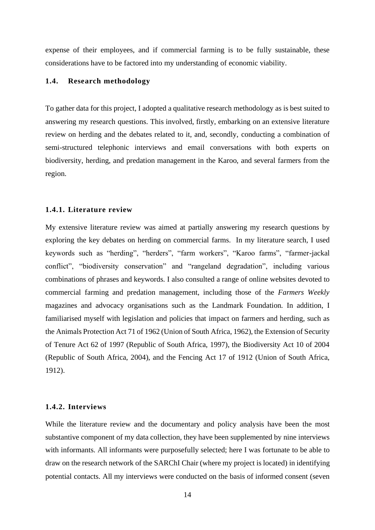expense of their employees, and if commercial farming is to be fully sustainable, these considerations have to be factored into my understanding of economic viability.

#### <span id="page-19-0"></span>**1.4. Research methodology**

To gather data for this project, I adopted a qualitative research methodology as is best suited to answering my research questions. This involved, firstly, embarking on an extensive literature review on herding and the debates related to it, and, secondly, conducting a combination of semi-structured telephonic interviews and email conversations with both experts on biodiversity, herding, and predation management in the Karoo, and several farmers from the region.

#### <span id="page-19-1"></span>**1.4.1. Literature review**

My extensive literature review was aimed at partially answering my research questions by exploring the key debates on herding on commercial farms. In my literature search, I used keywords such as "herding", "herders", "farm workers", "Karoo farms", "farmer-jackal conflict", "biodiversity conservation" and "rangeland degradation", including various combinations of phrases and keywords. I also consulted a range of online websites devoted to commercial farming and predation management, including those of the *Farmers Weekly* magazines and advocacy organisations such as the Landmark Foundation. In addition, I familiarised myself with legislation and policies that impact on farmers and herding, such as the Animals Protection Act 71 of 1962 (Union of South Africa, 1962), the Extension of Security of Tenure Act 62 of 1997 (Republic of South Africa, 1997), the Biodiversity Act 10 of 2004 (Republic of South Africa, 2004), and the Fencing Act 17 of 1912 (Union of South Africa, 1912).

#### <span id="page-19-2"></span>**1.4.2. Interviews**

While the literature review and the documentary and policy analysis have been the most substantive component of my data collection, they have been supplemented by nine interviews with informants. All informants were purposefully selected; here I was fortunate to be able to draw on the research network of the SARChI Chair (where my project is located) in identifying potential contacts. All my interviews were conducted on the basis of informed consent (seven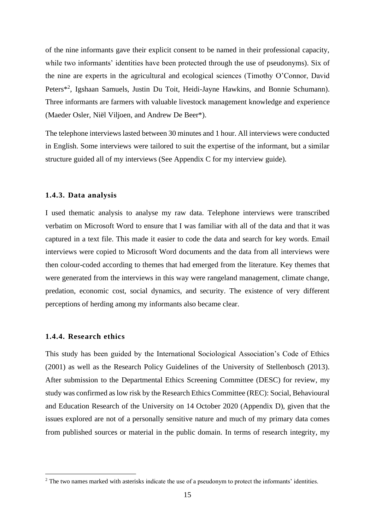of the nine informants gave their explicit consent to be named in their professional capacity, while two informants' identities have been protected through the use of pseudonyms). Six of the nine are experts in the agricultural and ecological sciences (Timothy O'Connor, David Peters\*<sup>2</sup> , Igshaan Samuels, Justin Du Toit, Heidi-Jayne Hawkins, and Bonnie Schumann). Three informants are farmers with valuable livestock management knowledge and experience (Maeder Osler, Niël Viljoen, and Andrew De Beer\*).

The telephone interviews lasted between 30 minutes and 1 hour. All interviews were conducted in English. Some interviews were tailored to suit the expertise of the informant, but a similar structure guided all of my interviews (See Appendix C for my interview guide).

#### <span id="page-20-0"></span>**1.4.3. Data analysis**

I used thematic analysis to analyse my raw data. Telephone interviews were transcribed verbatim on Microsoft Word to ensure that I was familiar with all of the data and that it was captured in a text file. This made it easier to code the data and search for key words. Email interviews were copied to Microsoft Word documents and the data from all interviews were then colour-coded according to themes that had emerged from the literature. Key themes that were generated from the interviews in this way were rangeland management, climate change, predation, economic cost, social dynamics, and security. The existence of very different perceptions of herding among my informants also became clear.

## <span id="page-20-1"></span>**1.4.4. Research ethics**

This study has been guided by the International Sociological Association's Code of Ethics (2001) as well as the Research Policy Guidelines of the University of Stellenbosch (2013). After submission to the Departmental Ethics Screening Committee (DESC) for review, my study was confirmed as low risk by the Research Ethics Committee (REC): Social, Behavioural and Education Research of the University on 14 October 2020 (Appendix D), given that the issues explored are not of a personally sensitive nature and much of my primary data comes from published sources or material in the public domain. In terms of research integrity, my

<sup>&</sup>lt;sup>2</sup> The two names marked with asterisks indicate the use of a pseudonym to protect the informants' identities.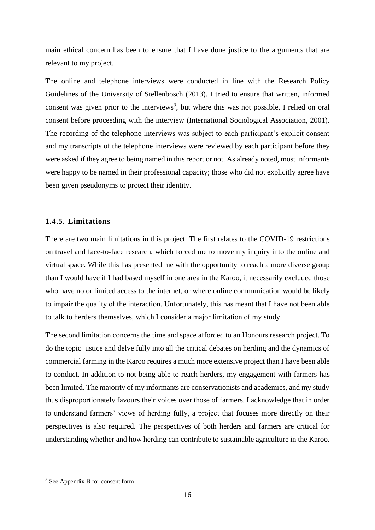main ethical concern has been to ensure that I have done justice to the arguments that are relevant to my project.

The online and telephone interviews were conducted in line with the Research Policy Guidelines of the University of Stellenbosch (2013). I tried to ensure that written, informed consent was given prior to the interviews<sup>3</sup>, but where this was not possible, I relied on oral consent before proceeding with the interview (International Sociological Association, 2001). The recording of the telephone interviews was subject to each participant's explicit consent and my transcripts of the telephone interviews were reviewed by each participant before they were asked if they agree to being named in this report or not. As already noted, most informants were happy to be named in their professional capacity; those who did not explicitly agree have been given pseudonyms to protect their identity.

#### <span id="page-21-0"></span>**1.4.5. Limitations**

There are two main limitations in this project. The first relates to the COVID-19 restrictions on travel and face-to-face research, which forced me to move my inquiry into the online and virtual space. While this has presented me with the opportunity to reach a more diverse group than I would have if I had based myself in one area in the Karoo, it necessarily excluded those who have no or limited access to the internet, or where online communication would be likely to impair the quality of the interaction. Unfortunately, this has meant that I have not been able to talk to herders themselves, which I consider a major limitation of my study.

The second limitation concerns the time and space afforded to an Honours research project. To do the topic justice and delve fully into all the critical debates on herding and the dynamics of commercial farming in the Karoo requires a much more extensive project than I have been able to conduct. In addition to not being able to reach herders, my engagement with farmers has been limited. The majority of my informants are conservationists and academics, and my study thus disproportionately favours their voices over those of farmers. I acknowledge that in order to understand farmers' views of herding fully, a project that focuses more directly on their perspectives is also required. The perspectives of both herders and farmers are critical for understanding whether and how herding can contribute to sustainable agriculture in the Karoo.

<sup>&</sup>lt;sup>3</sup> See Appendix B for consent form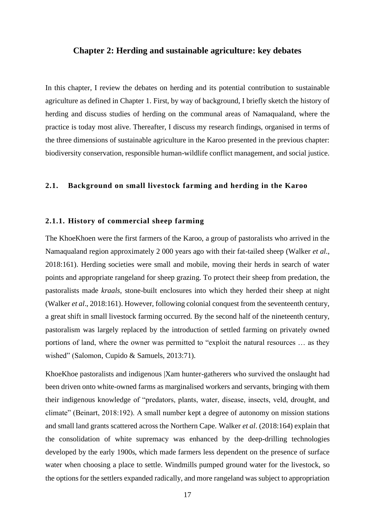#### <span id="page-22-0"></span>**Chapter 2: Herding and sustainable agriculture: key debates**

In this chapter, I review the debates on herding and its potential contribution to sustainable agriculture as defined in Chapter 1. First, by way of background, I briefly sketch the history of herding and discuss studies of herding on the communal areas of Namaqualand, where the practice is today most alive. Thereafter, I discuss my research findings, organised in terms of the three dimensions of sustainable agriculture in the Karoo presented in the previous chapter: biodiversity conservation, responsible human-wildlife conflict management, and social justice.

#### <span id="page-22-1"></span>**2.1. Background on small livestock farming and herding in the Karoo**

#### <span id="page-22-2"></span>**2.1.1. History of commercial sheep farming**

The KhoeKhoen were the first farmers of the Karoo, a group of pastoralists who arrived in the Namaqualand region approximately 2 000 years ago with their fat-tailed sheep (Walker *et al*., 2018:161). Herding societies were small and mobile, moving their herds in search of water points and appropriate rangeland for sheep grazing. To protect their sheep from predation, the pastoralists made *kraals*, stone-built enclosures into which they herded their sheep at night (Walker *et al*., 2018:161). However, following colonial conquest from the seventeenth century, a great shift in small livestock farming occurred. By the second half of the nineteenth century, pastoralism was largely replaced by the introduction of settled farming on privately owned portions of land, where the owner was permitted to "exploit the natural resources … as they wished" (Salomon, Cupido & Samuels, 2013:71).

KhoeKhoe pastoralists and indigenous |Xam hunter-gatherers who survived the onslaught had been driven onto white-owned farms as marginalised workers and servants, bringing with them their indigenous knowledge of "predators, plants, water, disease, insects, veld, drought, and climate" (Beinart, 2018:192). A small number kept a degree of autonomy on mission stations and small land grants scattered across the Northern Cape. Walker *et al*. (2018:164) explain that the consolidation of white supremacy was enhanced by the deep-drilling technologies developed by the early 1900s, which made farmers less dependent on the presence of surface water when choosing a place to settle. Windmills pumped ground water for the livestock, so the options for the settlers expanded radically, and more rangeland was subject to appropriation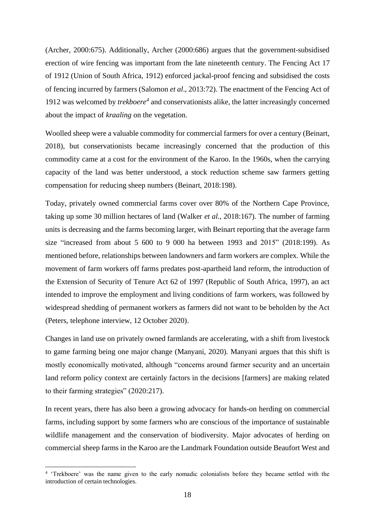(Archer, 2000:675). Additionally, Archer (2000:686) argues that the government-subsidised erection of wire fencing was important from the late nineteenth century. The Fencing Act 17 of 1912 (Union of South Africa, 1912) enforced jackal-proof fencing and subsidised the costs of fencing incurred by farmers (Salomon *et al*., 2013:72). The enactment of the Fencing Act of 1912 was welcomed by *trekboere<sup>4</sup>* and conservationists alike, the latter increasingly concerned about the impact of *kraaling* on the vegetation.

Woolled sheep were a valuable commodity for commercial farmers for over a century (Beinart, 2018), but conservationists became increasingly concerned that the production of this commodity came at a cost for the environment of the Karoo. In the 1960s, when the carrying capacity of the land was better understood, a stock reduction scheme saw farmers getting compensation for reducing sheep numbers (Beinart, 2018:198).

Today, privately owned commercial farms cover over 80% of the Northern Cape Province, taking up some 30 million hectares of land (Walker *et al*., 2018:167). The number of farming units is decreasing and the farms becoming larger, with Beinart reporting that the average farm size "increased from about 5 600 to 9 000 ha between 1993 and 2015" (2018:199). As mentioned before, relationships between landowners and farm workers are complex. While the movement of farm workers off farms predates post-apartheid land reform, the introduction of the Extension of Security of Tenure Act 62 of 1997 (Republic of South Africa, 1997), an act intended to improve the employment and living conditions of farm workers, was followed by widespread shedding of permanent workers as farmers did not want to be beholden by the Act (Peters, telephone interview, 12 October 2020).

Changes in land use on privately owned farmlands are accelerating, with a shift from livestock to game farming being one major change (Manyani, 2020). Manyani argues that this shift is mostly economically motivated, although "concerns around farmer security and an uncertain land reform policy context are certainly factors in the decisions [farmers] are making related to their farming strategies" (2020:217).

In recent years, there has also been a growing advocacy for hands-on herding on commercial farms, including support by some farmers who are conscious of the importance of sustainable wildlife management and the conservation of biodiversity. Major advocates of herding on commercial sheep farms in the Karoo are the Landmark Foundation outside Beaufort West and

<sup>&</sup>lt;sup>4</sup> 'Trekboere' was the name given to the early nomadic colonialists before they became settled with the introduction of certain technologies.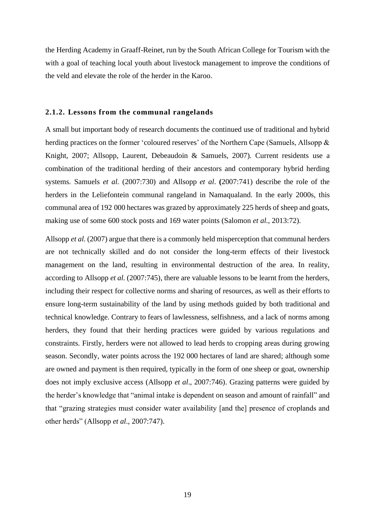the Herding Academy in Graaff-Reinet, run by the South African College for Tourism with the with a goal of teaching local youth about livestock management to improve the conditions of the veld and elevate the role of the herder in the Karoo.

#### <span id="page-24-0"></span>**2.1.2. Lessons from the communal rangelands**

A small but important body of research documents the continued use of traditional and hybrid herding practices on the former 'coloured reserves' of the Northern Cape (Samuels, Allsopp & Knight, 2007; Allsopp, Laurent, Debeaudoin & Samuels, 2007). Current residents use a combination of the traditional herding of their ancestors and contemporary hybrid herding systems. Samuels *et al*. (2007:730) and Allsopp *et al*. **(**2007:741) describe the role of the herders in the Leliefontein communal rangeland in Namaqualand. In the early 2000s, this communal area of 192 000 hectares was grazed by approximately 225 herds of sheep and goats, making use of some 600 stock posts and 169 water points (Salomon *et al*., 2013:72).

Allsopp *et al*. (2007) argue that there is a commonly held misperception that communal herders are not technically skilled and do not consider the long-term effects of their livestock management on the land, resulting in environmental destruction of the area. In reality, according to Allsopp *et al*. (2007:745), there are valuable lessons to be learnt from the herders, including their respect for collective norms and sharing of resources, as well as their efforts to ensure long-term sustainability of the land by using methods guided by both traditional and technical knowledge. Contrary to fears of lawlessness, selfishness, and a lack of norms among herders, they found that their herding practices were guided by various regulations and constraints. Firstly, herders were not allowed to lead herds to cropping areas during growing season. Secondly, water points across the 192 000 hectares of land are shared; although some are owned and payment is then required, typically in the form of one sheep or goat, ownership does not imply exclusive access (Allsopp *et al*., 2007:746). Grazing patterns were guided by the herder's knowledge that "animal intake is dependent on season and amount of rainfall" and that "grazing strategies must consider water availability [and the] presence of croplands and other herds" (Allsopp *et al*., 2007:747).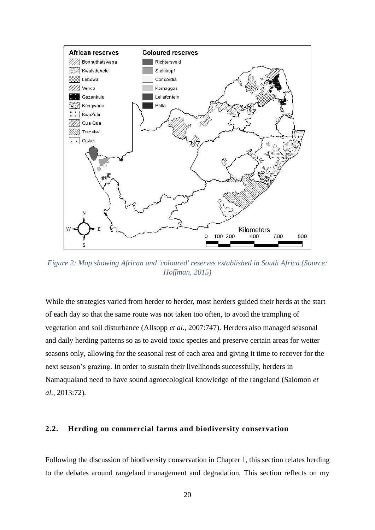

<span id="page-25-1"></span>*Figure 2: Map showing African and 'coloured' reserves established in South Africa (Source: Hoffman, 2015)*

While the strategies varied from herder to herder, most herders guided their herds at the start of each day so that the same route was not taken too often, to avoid the trampling of vegetation and soil disturbance (Allsopp *et al*., 2007:747). Herders also managed seasonal and daily herding patterns so as to avoid toxic species and preserve certain areas for wetter seasons only, allowing for the seasonal rest of each area and giving it time to recover for the next season's grazing. In order to sustain their livelihoods successfully, herders in Namaqualand need to have sound agroecological knowledge of the rangeland (Salomon *et al*., 2013:72).

#### <span id="page-25-0"></span>**2.2. Herding on commercial farms and biodiversity conservation**

Following the discussion of biodiversity conservation in Chapter 1, this section relates herding to the debates around rangeland management and degradation. This section reflects on my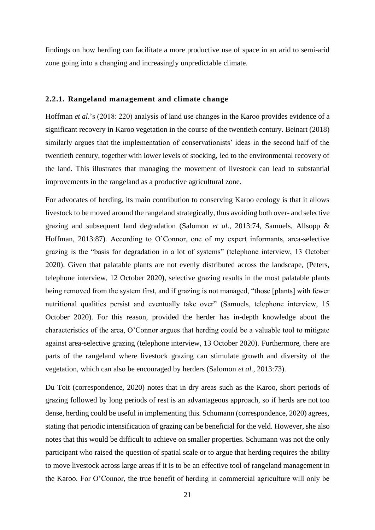findings on how herding can facilitate a more productive use of space in an arid to semi-arid zone going into a changing and increasingly unpredictable climate.

#### <span id="page-26-0"></span>**2.2.1. Rangeland management and climate change**

Hoffman *et al*.'s (2018: 220) analysis of land use changes in the Karoo provides evidence of a significant recovery in Karoo vegetation in the course of the twentieth century. Beinart (2018) similarly argues that the implementation of conservationists' ideas in the second half of the twentieth century, together with lower levels of stocking, led to the environmental recovery of the land. This illustrates that managing the movement of livestock can lead to substantial improvements in the rangeland as a productive agricultural zone.

For advocates of herding, its main contribution to conserving Karoo ecology is that it allows livestock to be moved around the rangeland strategically, thus avoiding both over- and selective grazing and subsequent land degradation (Salomon *et al*., 2013:74, Samuels, Allsopp & Hoffman, 2013:87). According to O'Connor, one of my expert informants, area-selective grazing is the "basis for degradation in a lot of systems" (telephone interview, 13 October 2020). Given that palatable plants are not evenly distributed across the landscape, (Peters, telephone interview, 12 October 2020), selective grazing results in the most palatable plants being removed from the system first, and if grazing is not managed, "those [plants] with fewer nutritional qualities persist and eventually take over" (Samuels, telephone interview, 15 October 2020). For this reason, provided the herder has in-depth knowledge about the characteristics of the area, O'Connor argues that herding could be a valuable tool to mitigate against area-selective grazing (telephone interview, 13 October 2020). Furthermore, there are parts of the rangeland where livestock grazing can stimulate growth and diversity of the vegetation, which can also be encouraged by herders (Salomon *et al*., 2013:73).

Du Toit (correspondence, 2020) notes that in dry areas such as the Karoo, short periods of grazing followed by long periods of rest is an advantageous approach, so if herds are not too dense, herding could be useful in implementing this. Schumann (correspondence, 2020) agrees, stating that periodic intensification of grazing can be beneficial for the veld. However, she also notes that this would be difficult to achieve on smaller properties. Schumann was not the only participant who raised the question of spatial scale or to argue that herding requires the ability to move livestock across large areas if it is to be an effective tool of rangeland management in the Karoo. For O'Connor, the true benefit of herding in commercial agriculture will only be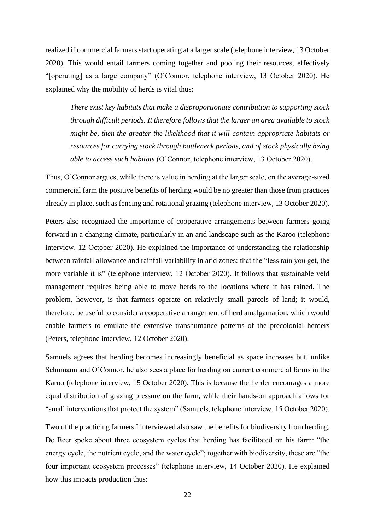realized if commercial farmers start operating at a larger scale (telephone interview, 13 October 2020). This would entail farmers coming together and pooling their resources, effectively "[operating] as a large company" (O'Connor, telephone interview, 13 October 2020). He explained why the mobility of herds is vital thus:

*There exist key habitats that make a disproportionate contribution to supporting stock through difficult periods. It therefore follows that the larger an area available to stock might be, then the greater the likelihood that it will contain appropriate habitats or resources for carrying stock through bottleneck periods, and of stock physically being able to access such habitats* (O'Connor, telephone interview, 13 October 2020).

Thus, O'Connor argues, while there is value in herding at the larger scale, on the average-sized commercial farm the positive benefits of herding would be no greater than those from practices already in place, such as fencing and rotational grazing (telephone interview, 13 October 2020).

Peters also recognized the importance of cooperative arrangements between farmers going forward in a changing climate, particularly in an arid landscape such as the Karoo (telephone interview, 12 October 2020). He explained the importance of understanding the relationship between rainfall allowance and rainfall variability in arid zones: that the "less rain you get, the more variable it is" (telephone interview, 12 October 2020). It follows that sustainable veld management requires being able to move herds to the locations where it has rained. The problem, however, is that farmers operate on relatively small parcels of land; it would, therefore, be useful to consider a cooperative arrangement of herd amalgamation, which would enable farmers to emulate the extensive transhumance patterns of the precolonial herders (Peters, telephone interview, 12 October 2020).

Samuels agrees that herding becomes increasingly beneficial as space increases but, unlike Schumann and O'Connor, he also sees a place for herding on current commercial farms in the Karoo (telephone interview, 15 October 2020). This is because the herder encourages a more equal distribution of grazing pressure on the farm, while their hands-on approach allows for "small interventions that protect the system" (Samuels, telephone interview, 15 October 2020).

Two of the practicing farmers I interviewed also saw the benefits for biodiversity from herding. De Beer spoke about three ecosystem cycles that herding has facilitated on his farm: "the energy cycle, the nutrient cycle, and the water cycle"; together with biodiversity, these are "the four important ecosystem processes" (telephone interview, 14 October 2020). He explained how this impacts production thus: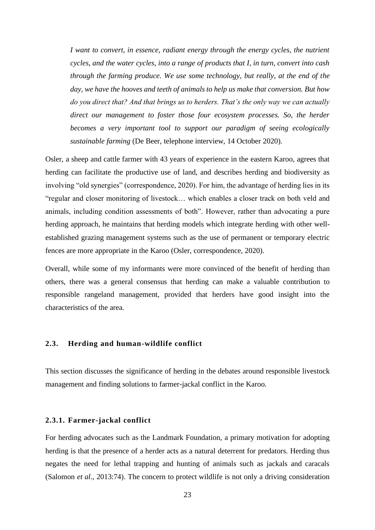*I want to convert, in essence, radiant energy through the energy cycles, the nutrient cycles, and the water cycles, into a range of products that I, in turn, convert into cash through the farming produce. We use some technology, but really, at the end of the day, we have the hooves and teeth of animals to help us make that conversion. But how do you direct that? And that brings us to herders. That's the only way we can actually direct our management to foster those four ecosystem processes. So, the herder becomes a very important tool to support our paradigm of seeing ecologically sustainable farming* (De Beer, telephone interview, 14 October 2020).

Osler, a sheep and cattle farmer with 43 years of experience in the eastern Karoo, agrees that herding can facilitate the productive use of land, and describes herding and biodiversity as involving "old synergies" (correspondence, 2020). For him, the advantage of herding lies in its "regular and closer monitoring of livestock… which enables a closer track on both veld and animals, including condition assessments of both". However, rather than advocating a pure herding approach, he maintains that herding models which integrate herding with other wellestablished grazing management systems such as the use of permanent or temporary electric fences are more appropriate in the Karoo (Osler, correspondence, 2020).

Overall, while some of my informants were more convinced of the benefit of herding than others, there was a general consensus that herding can make a valuable contribution to responsible rangeland management, provided that herders have good insight into the characteristics of the area.

#### <span id="page-28-0"></span>**2.3. Herding and human-wildlife conflict**

This section discusses the significance of herding in the debates around responsible livestock management and finding solutions to farmer-jackal conflict in the Karoo.

#### <span id="page-28-1"></span>**2.3.1. Farmer-jackal conflict**

For herding advocates such as the Landmark Foundation, a primary motivation for adopting herding is that the presence of a herder acts as a natural deterrent for predators. Herding thus negates the need for lethal trapping and hunting of animals such as jackals and caracals (Salomon *et al*., 2013:74). The concern to protect wildlife is not only a driving consideration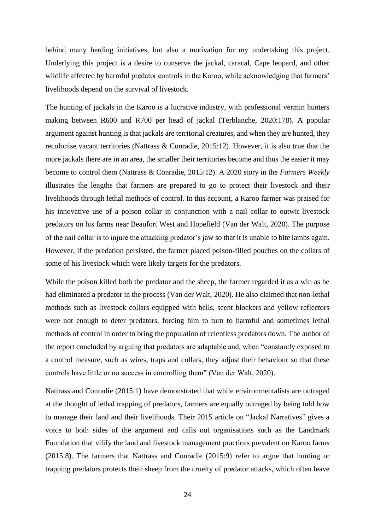behind many herding initiatives, but also a motivation for my undertaking this project. Underlying this project is a desire to conserve the jackal, caracal, Cape leopard, and other wildlife affected by harmful predator controls in the Karoo, while acknowledging that farmers' livelihoods depend on the survival of livestock.

The hunting of jackals in the Karoo is a lucrative industry, with professional vermin hunters making between R600 and R700 per head of jackal (Terblanche, 2020:178). A popular argument against hunting is that jackals are territorial creatures, and when they are hunted, they recolonise vacant territories (Nattrass & Conradie, 2015:12). However, it is also true that the more jackals there are in an area, the smaller their territories become and thus the easier it may become to control them (Nattrass & Conradie, 2015:12). A 2020 story in the *Farmers Weekly* illustrates the lengths that farmers are prepared to go to protect their livestock and their livelihoods through lethal methods of control. In this account, a Karoo farmer was praised for his innovative use of a poison collar in conjunction with a nail collar to outwit livestock predators on his farms near Beaufort West and Hopefield (Van der Walt, 2020). The purpose of the nail collar is to injure the attacking predator's jaw so that it is unable to bite lambs again. However, if the predation persisted, the farmer placed poison-filled pouches on the collars of some of his livestock which were likely targets for the predators.

While the poison killed both the predator and the sheep, the farmer regarded it as a win as he had eliminated a predator in the process (Van der Walt, 2020). He also claimed that non-lethal methods such as livestock collars equipped with bells, scent blockers and yellow reflectors were not enough to deter predators, forcing him to turn to harmful and sometimes lethal methods of control in order to bring the population of relentless predators down. The author of the report concluded by arguing that predators are adaptable and, when "constantly exposed to a control measure, such as wires, traps and collars, they adjust their behaviour so that these controls have little or no success in controlling them" (Van der Walt, 2020).

Nattrass and Conradie (2015:1) have demonstrated that while environmentalists are outraged at the thought of lethal trapping of predators, farmers are equally outraged by being told how to manage their land and their livelihoods. Their 2015 article on "Jackal Narratives" gives a voice to both sides of the argument and calls out organisations such as the Landmark Foundation that vilify the land and livestock management practices prevalent on Karoo farms (2015:8). The farmers that Nattrass and Conradie (2015:9) refer to argue that hunting or trapping predators protects their sheep from the cruelty of predator attacks, which often leave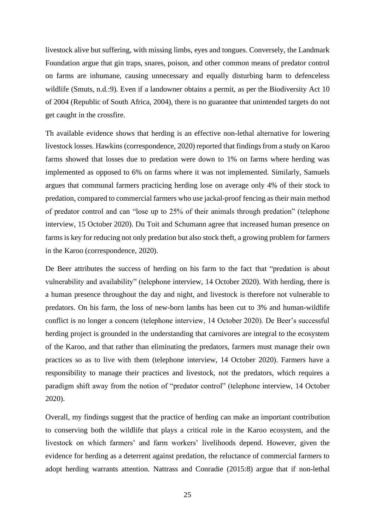livestock alive but suffering, with missing limbs, eyes and tongues. Conversely, the Landmark Foundation argue that gin traps, snares, poison, and other common means of predator control on farms are inhumane, causing unnecessary and equally disturbing harm to defenceless wildlife (Smuts, n.d.:9). Even if a landowner obtains a permit, as per the Biodiversity Act 10 of 2004 (Republic of South Africa, 2004), there is no guarantee that unintended targets do not get caught in the crossfire.

Th available evidence shows that herding is an effective non-lethal alternative for lowering livestock losses. Hawkins (correspondence, 2020) reported that findings from a study on Karoo farms showed that losses due to predation were down to 1% on farms where herding was implemented as opposed to 6% on farms where it was not implemented. Similarly, Samuels argues that communal farmers practicing herding lose on average only 4% of their stock to predation, compared to commercial farmers who use jackal-proof fencing as their main method of predator control and can "lose up to 25% of their animals through predation" (telephone interview, 15 October 2020). Du Toit and Schumann agree that increased human presence on farms is key for reducing not only predation but also stock theft, a growing problem for farmers in the Karoo (correspondence, 2020).

De Beer attributes the success of herding on his farm to the fact that "predation is about vulnerability and availability" (telephone interview, 14 October 2020). With herding, there is a human presence throughout the day and night, and livestock is therefore not vulnerable to predators. On his farm, the loss of new-born lambs has been cut to 3% and human-wildlife conflict is no longer a concern (telephone interview, 14 October 2020). De Beer's successful herding project is grounded in the understanding that carnivores are integral to the ecosystem of the Karoo, and that rather than eliminating the predators, farmers must manage their own practices so as to live with them (telephone interview, 14 October 2020). Farmers have a responsibility to manage their practices and livestock, not the predators, which requires a paradigm shift away from the notion of "predator control" (telephone interview, 14 October 2020).

Overall, my findings suggest that the practice of herding can make an important contribution to conserving both the wildlife that plays a critical role in the Karoo ecosystem, and the livestock on which farmers' and farm workers' livelihoods depend. However, given the evidence for herding as a deterrent against predation, the reluctance of commercial farmers to adopt herding warrants attention. Nattrass and Conradie (2015:8) argue that if non-lethal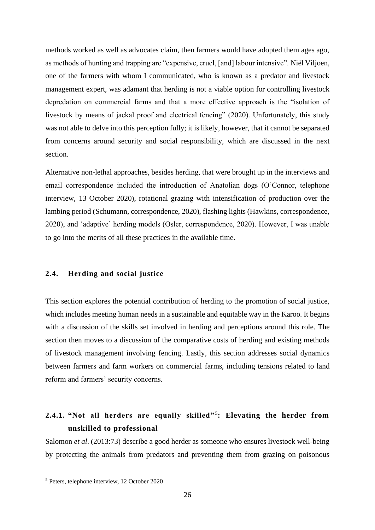methods worked as well as advocates claim, then farmers would have adopted them ages ago, as methods of hunting and trapping are "expensive, cruel, [and] labour intensive". Niël Viljoen, one of the farmers with whom I communicated, who is known as a predator and livestock management expert, was adamant that herding is not a viable option for controlling livestock depredation on commercial farms and that a more effective approach is the "isolation of livestock by means of jackal proof and electrical fencing" (2020). Unfortunately, this study was not able to delve into this perception fully; it is likely, however, that it cannot be separated from concerns around security and social responsibility, which are discussed in the next section.

Alternative non-lethal approaches, besides herding, that were brought up in the interviews and email correspondence included the introduction of Anatolian dogs (O'Connor, telephone interview, 13 October 2020), rotational grazing with intensification of production over the lambing period (Schumann, correspondence, 2020), flashing lights (Hawkins, correspondence, 2020), and 'adaptive' herding models (Osler, correspondence, 2020). However, I was unable to go into the merits of all these practices in the available time.

#### <span id="page-31-0"></span>**2.4. Herding and social justice**

This section explores the potential contribution of herding to the promotion of social justice, which includes meeting human needs in a sustainable and equitable way in the Karoo. It begins with a discussion of the skills set involved in herding and perceptions around this role. The section then moves to a discussion of the comparative costs of herding and existing methods of livestock management involving fencing. Lastly, this section addresses social dynamics between farmers and farm workers on commercial farms, including tensions related to land reform and farmers' security concerns.

## <span id="page-31-1"></span>**2.4.1. "Not all herders are equally skilled"**<sup>5</sup> **: Elevating the herder from unskilled to professional**

Salomon *et al*. (2013:73) describe a good herder as someone who ensures livestock well-being by protecting the animals from predators and preventing them from grazing on poisonous

<sup>5</sup> Peters, telephone interview, 12 October 2020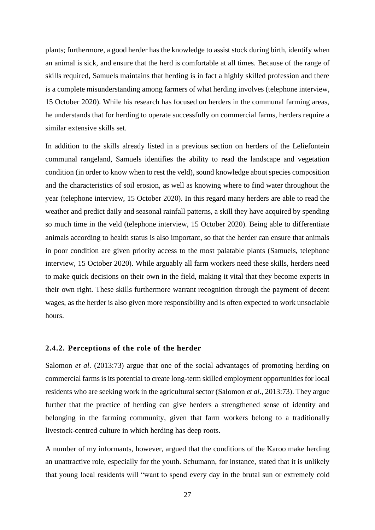plants; furthermore, a good herder has the knowledge to assist stock during birth, identify when an animal is sick, and ensure that the herd is comfortable at all times. Because of the range of skills required, Samuels maintains that herding is in fact a highly skilled profession and there is a complete misunderstanding among farmers of what herding involves (telephone interview, 15 October 2020). While his research has focused on herders in the communal farming areas, he understands that for herding to operate successfully on commercial farms, herders require a similar extensive skills set.

In addition to the skills already listed in a previous section on herders of the Leliefontein communal rangeland, Samuels identifies the ability to read the landscape and vegetation condition (in order to know when to rest the veld), sound knowledge about species composition and the characteristics of soil erosion, as well as knowing where to find water throughout the year (telephone interview, 15 October 2020). In this regard many herders are able to read the weather and predict daily and seasonal rainfall patterns, a skill they have acquired by spending so much time in the veld (telephone interview, 15 October 2020). Being able to differentiate animals according to health status is also important, so that the herder can ensure that animals in poor condition are given priority access to the most palatable plants (Samuels, telephone interview, 15 October 2020). While arguably all farm workers need these skills, herders need to make quick decisions on their own in the field, making it vital that they become experts in their own right. These skills furthermore warrant recognition through the payment of decent wages, as the herder is also given more responsibility and is often expected to work unsociable hours.

#### <span id="page-32-0"></span>**2.4.2. Perceptions of the role of the herder**

Salomon *et al*. (2013:73) argue that one of the social advantages of promoting herding on commercial farms is its potential to create long-term skilled employment opportunities for local residents who are seeking work in the agricultural sector (Salomon *et al*., 2013:73). They argue further that the practice of herding can give herders a strengthened sense of identity and belonging in the farming community, given that farm workers belong to a traditionally livestock-centred culture in which herding has deep roots.

A number of my informants, however, argued that the conditions of the Karoo make herding an unattractive role, especially for the youth. Schumann, for instance, stated that it is unlikely that young local residents will "want to spend every day in the brutal sun or extremely cold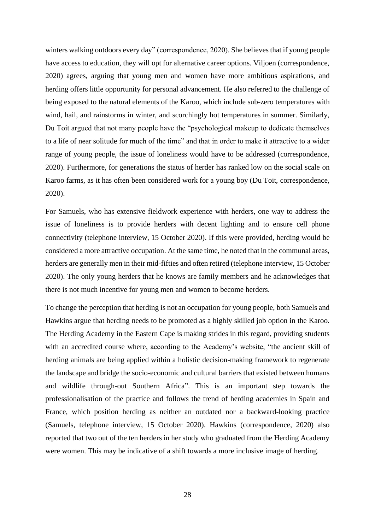winters walking outdoors every day" (correspondence, 2020). She believes that if young people have access to education, they will opt for alternative career options. Viljoen (correspondence, 2020) agrees, arguing that young men and women have more ambitious aspirations, and herding offers little opportunity for personal advancement. He also referred to the challenge of being exposed to the natural elements of the Karoo, which include sub-zero temperatures with wind, hail, and rainstorms in winter, and scorchingly hot temperatures in summer. Similarly, Du Toit argued that not many people have the "psychological makeup to dedicate themselves to a life of near solitude for much of the time" and that in order to make it attractive to a wider range of young people, the issue of loneliness would have to be addressed (correspondence, 2020). Furthermore, for generations the status of herder has ranked low on the social scale on Karoo farms, as it has often been considered work for a young boy (Du Toit, correspondence, 2020).

For Samuels, who has extensive fieldwork experience with herders, one way to address the issue of loneliness is to provide herders with decent lighting and to ensure cell phone connectivity (telephone interview, 15 October 2020). If this were provided, herding would be considered a more attractive occupation. At the same time, he noted that in the communal areas, herders are generally men in their mid-fifties and often retired (telephone interview, 15 October 2020). The only young herders that he knows are family members and he acknowledges that there is not much incentive for young men and women to become herders.

To change the perception that herding is not an occupation for young people, both Samuels and Hawkins argue that herding needs to be promoted as a highly skilled job option in the Karoo. The Herding Academy in the Eastern Cape is making strides in this regard, providing students with an accredited course where, according to the Academy's website, "the ancient skill of herding animals are being applied within a holistic decision-making framework to regenerate the landscape and bridge the socio-economic and cultural barriers that existed between humans and wildlife through-out Southern Africa". This is an important step towards the professionalisation of the practice and follows the trend of herding academies in Spain and France, which position herding as neither an outdated nor a backward-looking practice (Samuels, telephone interview, 15 October 2020). Hawkins (correspondence, 2020) also reported that two out of the ten herders in her study who graduated from the Herding Academy were women. This may be indicative of a shift towards a more inclusive image of herding.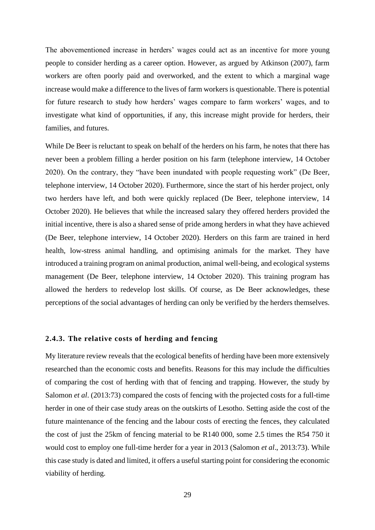The abovementioned increase in herders' wages could act as an incentive for more young people to consider herding as a career option. However, as argued by Atkinson (2007), farm workers are often poorly paid and overworked, and the extent to which a marginal wage increase would make a difference to the lives of farm workers is questionable. There is potential for future research to study how herders' wages compare to farm workers' wages, and to investigate what kind of opportunities, if any, this increase might provide for herders, their families, and futures.

While De Beer is reluctant to speak on behalf of the herders on his farm, he notes that there has never been a problem filling a herder position on his farm (telephone interview, 14 October 2020). On the contrary, they "have been inundated with people requesting work" (De Beer, telephone interview, 14 October 2020). Furthermore, since the start of his herder project, only two herders have left, and both were quickly replaced (De Beer, telephone interview, 14 October 2020). He believes that while the increased salary they offered herders provided the initial incentive, there is also a shared sense of pride among herders in what they have achieved (De Beer, telephone interview, 14 October 2020). Herders on this farm are trained in herd health, low-stress animal handling, and optimising animals for the market. They have introduced a training program on animal production, animal well-being, and ecological systems management (De Beer, telephone interview, 14 October 2020). This training program has allowed the herders to redevelop lost skills. Of course, as De Beer acknowledges, these perceptions of the social advantages of herding can only be verified by the herders themselves.

#### <span id="page-34-0"></span>**2.4.3. The relative costs of herding and fencing**

My literature review reveals that the ecological benefits of herding have been more extensively researched than the economic costs and benefits. Reasons for this may include the difficulties of comparing the cost of herding with that of fencing and trapping. However, the study by Salomon *et al*. (2013:73) compared the costs of fencing with the projected costs for a full-time herder in one of their case study areas on the outskirts of Lesotho. Setting aside the cost of the future maintenance of the fencing and the labour costs of erecting the fences, they calculated the cost of just the 25km of fencing material to be R140 000, some 2.5 times the R54 750 it would cost to employ one full-time herder for a year in 2013 (Salomon *et al*., 2013:73). While this case study is dated and limited, it offers a useful starting point for considering the economic viability of herding.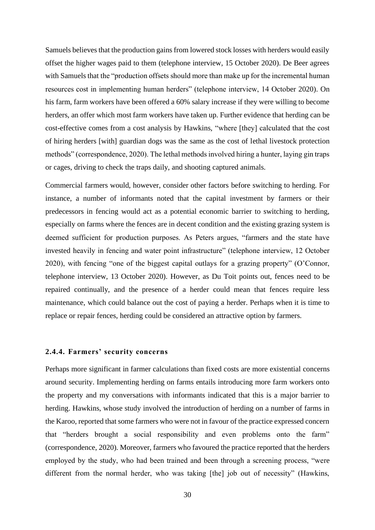Samuels believes that the production gains from lowered stock losses with herders would easily offset the higher wages paid to them (telephone interview, 15 October 2020). De Beer agrees with Samuels that the "production offsets should more than make up for the incremental human resources cost in implementing human herders" (telephone interview, 14 October 2020). On his farm, farm workers have been offered a 60% salary increase if they were willing to become herders, an offer which most farm workers have taken up. Further evidence that herding can be cost-effective comes from a cost analysis by Hawkins, "where [they] calculated that the cost of hiring herders [with] guardian dogs was the same as the cost of lethal livestock protection methods" (correspondence, 2020). The lethal methods involved hiring a hunter, laying gin traps or cages, driving to check the traps daily, and shooting captured animals.

Commercial farmers would, however, consider other factors before switching to herding. For instance, a number of informants noted that the capital investment by farmers or their predecessors in fencing would act as a potential economic barrier to switching to herding, especially on farms where the fences are in decent condition and the existing grazing system is deemed sufficient for production purposes. As Peters argues, "farmers and the state have invested heavily in fencing and water point infrastructure" (telephone interview, 12 October 2020), with fencing "one of the biggest capital outlays for a grazing property" (O'Connor, telephone interview, 13 October 2020). However, as Du Toit points out, fences need to be repaired continually, and the presence of a herder could mean that fences require less maintenance, which could balance out the cost of paying a herder. Perhaps when it is time to replace or repair fences, herding could be considered an attractive option by farmers.

#### <span id="page-35-0"></span>**2.4.4. Farmers' security concerns**

Perhaps more significant in farmer calculations than fixed costs are more existential concerns around security. Implementing herding on farms entails introducing more farm workers onto the property and my conversations with informants indicated that this is a major barrier to herding. Hawkins, whose study involved the introduction of herding on a number of farms in the Karoo, reported that some farmers who were not in favour of the practice expressed concern that "herders brought a social responsibility and even problems onto the farm" (correspondence, 2020). Moreover, farmers who favoured the practice reported that the herders employed by the study, who had been trained and been through a screening process, "were different from the normal herder, who was taking [the] job out of necessity" (Hawkins,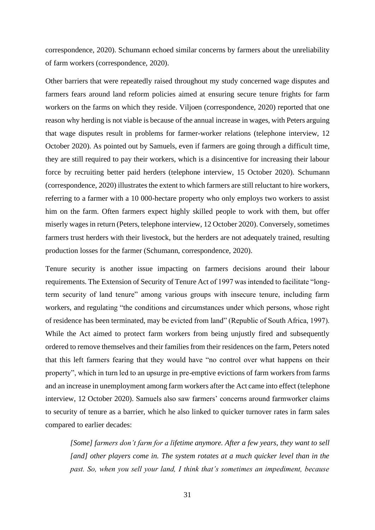correspondence, 2020). Schumann echoed similar concerns by farmers about the unreliability of farm workers (correspondence, 2020).

Other barriers that were repeatedly raised throughout my study concerned wage disputes and farmers fears around land reform policies aimed at ensuring secure tenure frights for farm workers on the farms on which they reside. Viljoen (correspondence, 2020) reported that one reason why herding is not viable is because of the annual increase in wages, with Peters arguing that wage disputes result in problems for farmer-worker relations (telephone interview, 12 October 2020). As pointed out by Samuels, even if farmers are going through a difficult time, they are still required to pay their workers, which is a disincentive for increasing their labour force by recruiting better paid herders (telephone interview, 15 October 2020). Schumann (correspondence, 2020) illustrates the extent to which farmers are still reluctant to hire workers, referring to a farmer with a 10 000-hectare property who only employs two workers to assist him on the farm. Often farmers expect highly skilled people to work with them, but offer miserly wages in return (Peters, telephone interview, 12 October 2020). Conversely, sometimes farmers trust herders with their livestock, but the herders are not adequately trained, resulting production losses for the farmer (Schumann, correspondence, 2020).

Tenure security is another issue impacting on farmers decisions around their labour requirements. The Extension of Security of Tenure Act of 1997 was intended to facilitate "longterm security of land tenure" among various groups with insecure tenure, including farm workers, and regulating "the conditions and circumstances under which persons, whose right of residence has been terminated, may be evicted from land" (Republic of South Africa, 1997). While the Act aimed to protect farm workers from being unjustly fired and subsequently ordered to remove themselves and their families from their residences on the farm, Peters noted that this left farmers fearing that they would have "no control over what happens on their property", which in turn led to an upsurge in pre-emptive evictions of farm workers from farms and an increase in unemployment among farm workers after the Act came into effect (telephone interview, 12 October 2020). Samuels also saw farmers' concerns around farmworker claims to security of tenure as a barrier, which he also linked to quicker turnover rates in farm sales compared to earlier decades:

*[Some] farmers don't farm for a lifetime anymore. After a few years, they want to sell [and] other players come in. The system rotates at a much quicker level than in the past. So, when you sell your land, I think that's sometimes an impediment, because*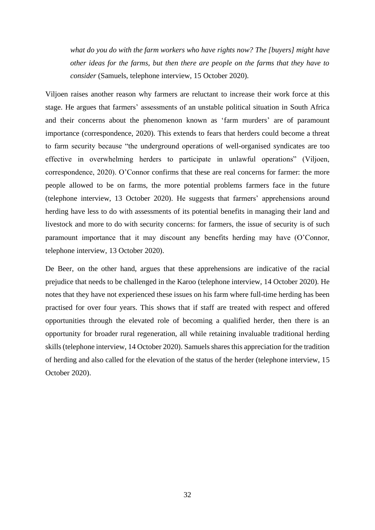*what do you do with the farm workers who have rights now? The [buyers] might have other ideas for the farms, but then there are people on the farms that they have to consider* (Samuels, telephone interview, 15 October 2020).

Viljoen raises another reason why farmers are reluctant to increase their work force at this stage. He argues that farmers' assessments of an unstable political situation in South Africa and their concerns about the phenomenon known as 'farm murders' are of paramount importance (correspondence, 2020). This extends to fears that herders could become a threat to farm security because "the underground operations of well-organised syndicates are too effective in overwhelming herders to participate in unlawful operations" (Viljoen, correspondence, 2020). O'Connor confirms that these are real concerns for farmer: the more people allowed to be on farms, the more potential problems farmers face in the future (telephone interview, 13 October 2020). He suggests that farmers' apprehensions around herding have less to do with assessments of its potential benefits in managing their land and livestock and more to do with security concerns: for farmers, the issue of security is of such paramount importance that it may discount any benefits herding may have (O'Connor, telephone interview, 13 October 2020).

De Beer, on the other hand, argues that these apprehensions are indicative of the racial prejudice that needs to be challenged in the Karoo (telephone interview, 14 October 2020). He notes that they have not experienced these issues on his farm where full-time herding has been practised for over four years. This shows that if staff are treated with respect and offered opportunities through the elevated role of becoming a qualified herder, then there is an opportunity for broader rural regeneration, all while retaining invaluable traditional herding skills (telephone interview, 14 October 2020). Samuels shares this appreciation for the tradition of herding and also called for the elevation of the status of the herder (telephone interview, 15 October 2020).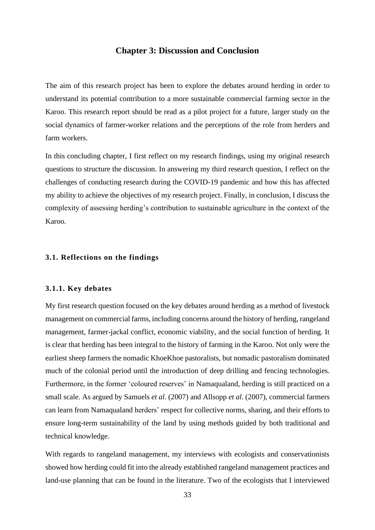#### **Chapter 3: Discussion and Conclusion**

<span id="page-38-0"></span>The aim of this research project has been to explore the debates around herding in order to understand its potential contribution to a more sustainable commercial farming sector in the Karoo. This research report should be read as a pilot project for a future, larger study on the social dynamics of farmer-worker relations and the perceptions of the role from herders and farm workers.

In this concluding chapter, I first reflect on my research findings, using my original research questions to structure the discussion. In answering my third research question, I reflect on the challenges of conducting research during the COVID-19 pandemic and how this has affected my ability to achieve the objectives of my research project. Finally, in conclusion, I discuss the complexity of assessing herding's contribution to sustainable agriculture in the context of the Karoo.

#### <span id="page-38-1"></span>**3.1. Reflections on the findings**

#### <span id="page-38-2"></span>**3.1.1. Key debates**

My first research question focused on the key debates around herding as a method of livestock management on commercial farms, including concerns around the history of herding, rangeland management, farmer-jackal conflict, economic viability, and the social function of herding. It is clear that herding has been integral to the history of farming in the Karoo. Not only were the earliest sheep farmers the nomadic KhoeKhoe pastoralists, but nomadic pastoralism dominated much of the colonial period until the introduction of deep drilling and fencing technologies. Furthermore, in the former 'coloured reserves' in Namaqualand, herding is still practiced on a small scale. As argued by Samuels *et al*. (2007) and Allsopp *et al*. (2007), commercial farmers can learn from Namaqualand herders' respect for collective norms, sharing, and their efforts to ensure long-term sustainability of the land by using methods guided by both traditional and technical knowledge.

With regards to rangeland management, my interviews with ecologists and conservationists showed how herding could fit into the already established rangeland management practices and land-use planning that can be found in the literature. Two of the ecologists that I interviewed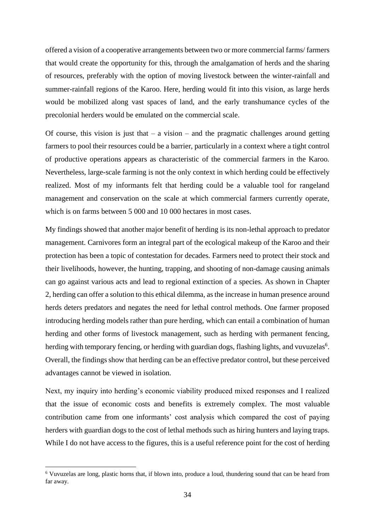offered a vision of a cooperative arrangements between two or more commercial farms/ farmers that would create the opportunity for this, through the amalgamation of herds and the sharing of resources, preferably with the option of moving livestock between the winter-rainfall and summer-rainfall regions of the Karoo. Here, herding would fit into this vision, as large herds would be mobilized along vast spaces of land, and the early transhumance cycles of the precolonial herders would be emulated on the commercial scale.

Of course, this vision is just that  $-$  a vision  $-$  and the pragmatic challenges around getting farmers to pool their resources could be a barrier, particularly in a context where a tight control of productive operations appears as characteristic of the commercial farmers in the Karoo. Nevertheless, large-scale farming is not the only context in which herding could be effectively realized. Most of my informants felt that herding could be a valuable tool for rangeland management and conservation on the scale at which commercial farmers currently operate, which is on farms between 5 000 and 10 000 hectares in most cases.

My findings showed that another major benefit of herding is its non-lethal approach to predator management. Carnivores form an integral part of the ecological makeup of the Karoo and their protection has been a topic of contestation for decades. Farmers need to protect their stock and their livelihoods, however, the hunting, trapping, and shooting of non-damage causing animals can go against various acts and lead to regional extinction of a species. As shown in Chapter 2, herding can offer a solution to this ethical dilemma, as the increase in human presence around herds deters predators and negates the need for lethal control methods. One farmer proposed introducing herding models rather than pure herding, which can entail a combination of human herding and other forms of livestock management, such as herding with permanent fencing, herding with temporary fencing, or herding with guardian dogs, flashing lights, and vuvuzelas<sup>6</sup>. Overall, the findings show that herding can be an effective predator control, but these perceived advantages cannot be viewed in isolation.

Next, my inquiry into herding's economic viability produced mixed responses and I realized that the issue of economic costs and benefits is extremely complex. The most valuable contribution came from one informants' cost analysis which compared the cost of paying herders with guardian dogs to the cost of lethal methods such as hiring hunters and laying traps. While I do not have access to the figures, this is a useful reference point for the cost of herding

<sup>6</sup> Vuvuzelas are long, plastic horns that, if blown into, produce a loud, thundering sound that can be heard from far away.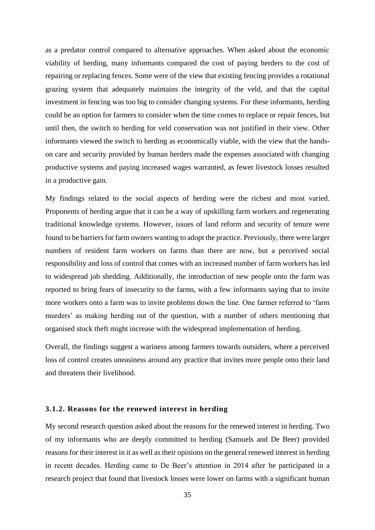as a predator control compared to alternative approaches. When asked about the economic viability of herding, many informants compared the cost of paying herders to the cost of repairing or replacing fences. Some were of the view that existing fencing provides a rotational grazing system that adequately maintains the integrity of the veld, and that the capital investment in fencing was too big to consider changing systems. For these informants, herding could be an option for farmers to consider when the time comes to replace or repair fences, but until then, the switch to herding for veld conservation was not justified in their view. Other informants viewed the switch to herding as economically viable, with the view that the handson care and security provided by human herders made the expenses associated with changing productive systems and paying increased wages warranted, as fewer livestock losses resulted in a productive gain.

My findings related to the social aspects of herding were the richest and most varied. Proponents of herding argue that it can be a way of upskilling farm workers and regenerating traditional knowledge systems. However, issues of land reform and security of tenure were found to be barriers for farm owners wanting to adopt the practice. Previously, there were larger numbers of resident farm workers on farms than there are now, but a perceived social responsibility and loss of control that comes with an increased number of farm workers has led to widespread job shedding. Additionally, the introduction of new people onto the farm was reported to bring fears of insecurity to the farms, with a few informants saying that to invite more workers onto a farm was to invite problems down the line. One farmer referred to 'farm murders' as making herding out of the question, with a number of others mentioning that organised stock theft might increase with the widespread implementation of herding.

Overall, the findings suggest a wariness among farmers towards outsiders, where a perceived loss of control creates uneasiness around any practice that invites more people onto their land and threatens their livelihood.

#### <span id="page-40-0"></span>**3.1.2. Reasons for the renewed interest in herding**

My second research question asked about the reasons for the renewed interest in herding. Two of my informants who are deeply committed to herding (Samuels and De Beer) provided reasons for their interest in it as well as their opinions on the general renewed interest in herding in recent decades. Herding came to De Beer's attention in 2014 after he participated in a research project that found that livestock losses were lower on farms with a significant human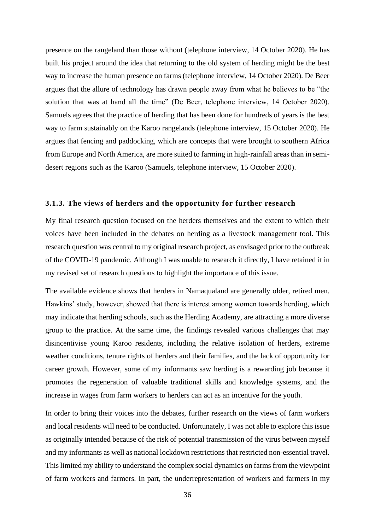presence on the rangeland than those without (telephone interview, 14 October 2020). He has built his project around the idea that returning to the old system of herding might be the best way to increase the human presence on farms (telephone interview, 14 October 2020). De Beer argues that the allure of technology has drawn people away from what he believes to be "the solution that was at hand all the time" (De Beer, telephone interview, 14 October 2020). Samuels agrees that the practice of herding that has been done for hundreds of years is the best way to farm sustainably on the Karoo rangelands (telephone interview, 15 October 2020). He argues that fencing and paddocking, which are concepts that were brought to southern Africa from Europe and North America, are more suited to farming in high-rainfall areas than in semidesert regions such as the Karoo (Samuels, telephone interview, 15 October 2020).

#### <span id="page-41-0"></span>**3.1.3. The views of herders and the opportunity for further research**

My final research question focused on the herders themselves and the extent to which their voices have been included in the debates on herding as a livestock management tool. This research question was central to my original research project, as envisaged prior to the outbreak of the COVID-19 pandemic. Although I was unable to research it directly, I have retained it in my revised set of research questions to highlight the importance of this issue.

The available evidence shows that herders in Namaqualand are generally older, retired men. Hawkins' study, however, showed that there is interest among women towards herding, which may indicate that herding schools, such as the Herding Academy, are attracting a more diverse group to the practice. At the same time, the findings revealed various challenges that may disincentivise young Karoo residents, including the relative isolation of herders, extreme weather conditions, tenure rights of herders and their families, and the lack of opportunity for career growth. However, some of my informants saw herding is a rewarding job because it promotes the regeneration of valuable traditional skills and knowledge systems, and the increase in wages from farm workers to herders can act as an incentive for the youth.

In order to bring their voices into the debates, further research on the views of farm workers and local residents will need to be conducted. Unfortunately, I was not able to explore this issue as originally intended because of the risk of potential transmission of the virus between myself and my informants as well as national lockdown restrictions that restricted non-essential travel. This limited my ability to understand the complex social dynamics on farms from the viewpoint of farm workers and farmers. In part, the underrepresentation of workers and farmers in my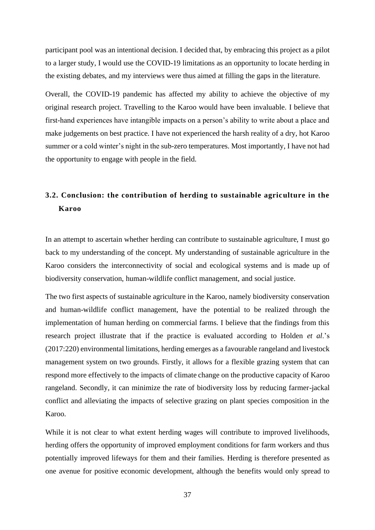participant pool was an intentional decision. I decided that, by embracing this project as a pilot to a larger study, I would use the COVID-19 limitations as an opportunity to locate herding in the existing debates, and my interviews were thus aimed at filling the gaps in the literature.

Overall, the COVID-19 pandemic has affected my ability to achieve the objective of my original research project. Travelling to the Karoo would have been invaluable. I believe that first-hand experiences have intangible impacts on a person's ability to write about a place and make judgements on best practice. I have not experienced the harsh reality of a dry, hot Karoo summer or a cold winter's night in the sub-zero temperatures. Most importantly, I have not had the opportunity to engage with people in the field.

## <span id="page-42-0"></span>**3.2. Conclusion: the contribution of herding to sustainable agriculture in the Karoo**

In an attempt to ascertain whether herding can contribute to sustainable agriculture, I must go back to my understanding of the concept. My understanding of sustainable agriculture in the Karoo considers the interconnectivity of social and ecological systems and is made up of biodiversity conservation, human-wildlife conflict management, and social justice.

The two first aspects of sustainable agriculture in the Karoo, namely biodiversity conservation and human-wildlife conflict management, have the potential to be realized through the implementation of human herding on commercial farms. I believe that the findings from this research project illustrate that if the practice is evaluated according to Holden *et al*.'s (2017:220) environmental limitations, herding emerges as a favourable rangeland and livestock management system on two grounds. Firstly, it allows for a flexible grazing system that can respond more effectively to the impacts of climate change on the productive capacity of Karoo rangeland. Secondly, it can minimize the rate of biodiversity loss by reducing farmer-jackal conflict and alleviating the impacts of selective grazing on plant species composition in the Karoo.

While it is not clear to what extent herding wages will contribute to improved livelihoods, herding offers the opportunity of improved employment conditions for farm workers and thus potentially improved lifeways for them and their families. Herding is therefore presented as one avenue for positive economic development, although the benefits would only spread to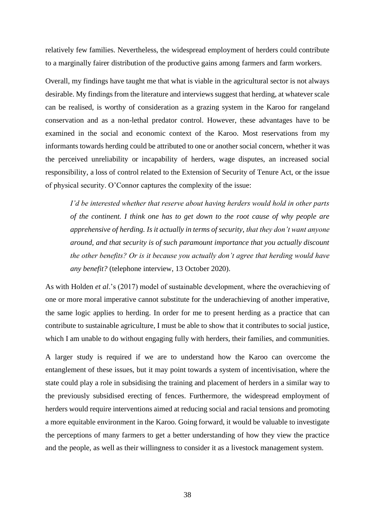relatively few families. Nevertheless, the widespread employment of herders could contribute to a marginally fairer distribution of the productive gains among farmers and farm workers.

Overall, my findings have taught me that what is viable in the agricultural sector is not always desirable. My findings from the literature and interviews suggest that herding, at whatever scale can be realised, is worthy of consideration as a grazing system in the Karoo for rangeland conservation and as a non-lethal predator control. However, these advantages have to be examined in the social and economic context of the Karoo. Most reservations from my informants towards herding could be attributed to one or another social concern, whether it was the perceived unreliability or incapability of herders, wage disputes, an increased social responsibility, a loss of control related to the Extension of Security of Tenure Act, or the issue of physical security. O'Connor captures the complexity of the issue:

*I'd be interested whether that reserve about having herders would hold in other parts of the continent. I think one has to get down to the root cause of why people are apprehensive of herding. Is it actually in terms of security, that they don't want anyone around, and that security is of such paramount importance that you actually discount the other benefits? Or is it because you actually don't agree that herding would have any benefit?* (telephone interview, 13 October 2020).

As with Holden *et al*.'s (2017) model of sustainable development, where the overachieving of one or more moral imperative cannot substitute for the underachieving of another imperative, the same logic applies to herding. In order for me to present herding as a practice that can contribute to sustainable agriculture, I must be able to show that it contributes to social justice, which I am unable to do without engaging fully with herders, their families, and communities.

A larger study is required if we are to understand how the Karoo can overcome the entanglement of these issues, but it may point towards a system of incentivisation, where the state could play a role in subsidising the training and placement of herders in a similar way to the previously subsidised erecting of fences. Furthermore, the widespread employment of herders would require interventions aimed at reducing social and racial tensions and promoting a more equitable environment in the Karoo. Going forward, it would be valuable to investigate the perceptions of many farmers to get a better understanding of how they view the practice and the people, as well as their willingness to consider it as a livestock management system.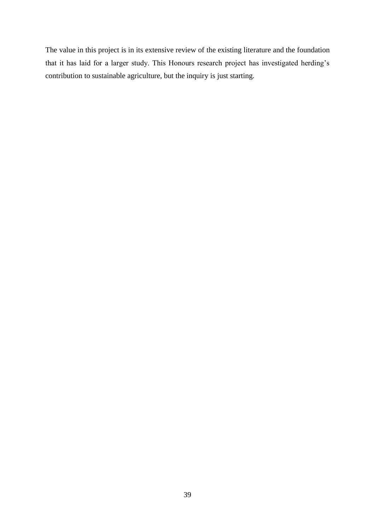The value in this project is in its extensive review of the existing literature and the foundation that it has laid for a larger study. This Honours research project has investigated herding's contribution to sustainable agriculture, but the inquiry is just starting.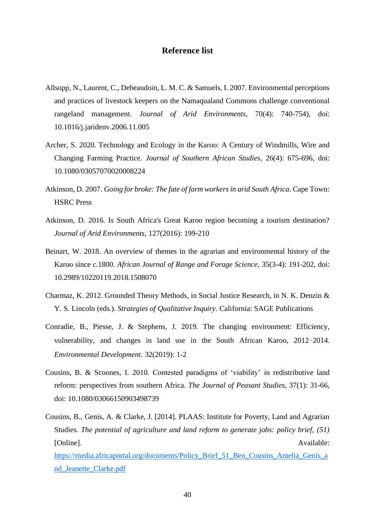## **Reference list**

- <span id="page-45-0"></span>Allsopp, N., Laurent, C., Debeaudoin, L. M. C. & Samuels, I. 2007. Environmental perceptions and practices of livestock keepers on the Namaqualand Commons challenge conventional rangeland management. *Journal of Arid Environments*, 70(4): 740-754), doi: 10.1016/j.jaridenv.2006.11.005
- Archer, S. 2020. Technology and Ecology in the Karoo: A Century of Windmills, Wire and Changing Farming Practice. *Journal of Southern African Studies*, 26(4): 675-696, doi: 10.1080/03057070020008224
- Atkinson, D. 2007. *Going for broke: The fate of farm workers in arid South Africa*. Cape Town: HSRC Press
- Atkinson, D. 2016. Is South Africa's Great Karoo region becoming a tourism destination? *Journal of Arid Environments,* 127(2016): 199-210
- Beinart, W. 2018. An overview of themes in the agrarian and environmental history of the Karoo since c.1800. *African Journal of Range and Forage Science*, 35(3-4): 191-202, doi: 10.2989/10220119.2018.1508070
- Charmaz, K. 2012. Grounded Theory Methods, in Social Justice Research, in N. K. Denzin & Y. S. Lincoln (eds.). *Strategies of Qualitative Inquiry*. California: SAGE Publications
- Conradie, B., Piesse, J. & Stephens, J. 2019. The changing environment: Efficiency, vulnerability, and changes in land use in the South African Karoo, 2012–2014. *Environmental Development*. 32(2019): 1-2
- Cousins, B. & Scoones, I. 2010. Contested paradigms of 'viability' in redistributive land reform: perspectives from southern Africa. *The Journal of Peasant Studies*, 37(1): 31-66, doi: 10.1080/03066150903498739
- Cousins, B., Genis, A. & Clarke, J. [2014]. PLAAS: Institute for Poverty, Land and Agrarian Studies. *The potential of agriculture and land reform to generate jobs: policy brief, (51)* [Online]. Available: [https://media.africaportal.org/documents/Policy\\_Brief\\_51\\_Ben\\_Cousins\\_Amelia\\_Genis\\_a](https://media.africaportal.org/documents/Policy_Brief_51_Ben_Cousins_Amelia_Genis_and_Jeanette_Clarke.pdf) [nd\\_Jeanette\\_Clarke.pdf](https://media.africaportal.org/documents/Policy_Brief_51_Ben_Cousins_Amelia_Genis_and_Jeanette_Clarke.pdf)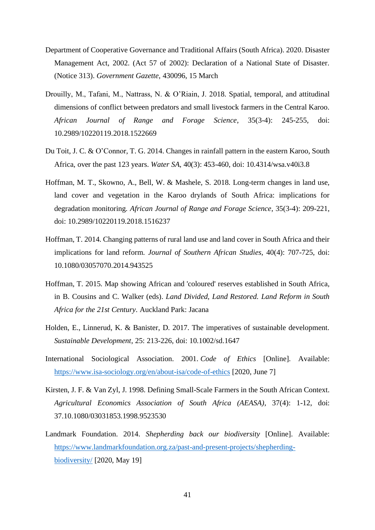- Department of Cooperative Governance and Traditional Affairs (South Africa). 2020. Disaster Management Act, 2002. (Act 57 of 2002): Declaration of a National State of Disaster. (Notice 313). *Government Gazette*, 430096, 15 March
- Drouilly, M., Tafani, M., Nattrass, N. & O'Riain, J. 2018. Spatial, temporal, and attitudinal dimensions of conflict between predators and small livestock farmers in the Central Karoo. *African Journal of Range and Forage Science*, 35(3-4): 245-255, doi: 10.2989/10220119.2018.1522669
- Du Toit, J. C. & O'Connor, T. G. 2014. Changes in rainfall pattern in the eastern Karoo, South Africa, over the past 123 years. *Water SA*, 40(3): 453-460, doi: 10.4314/wsa.v40i3.8
- Hoffman, M. T., Skowno, A., Bell, W. & Mashele, S. 2018. Long-term changes in land use, land cover and vegetation in the Karoo drylands of South Africa: implications for degradation monitoring. *African Journal of Range and Forage Science*, 35(3-4): 209-221, doi: 10.2989/10220119.2018.1516237
- Hoffman, T. 2014. Changing patterns of rural land use and land cover in South Africa and their implications for land reform. *Journal of Southern African Studies*, 40(4): 707-725, doi: 10.1080/03057070.2014.943525
- Hoffman, T. 2015. Map showing African and 'coloured' reserves established in South Africa, in B. Cousins and C. Walker (eds). *Land Divided, Land Restored. Land Reform in South Africa for the 21st Century*. Auckland Park: Jacana
- Holden, E., Linnerud, K. & Banister, D. 2017. The imperatives of sustainable development. *Sustainable Development*, 25: 213-226, doi: 10.1002/sd.1647
- International Sociological Association. 2001. *Code of Ethics* [Online]. Available: <https://www.isa-sociology.org/en/about-isa/code-of-ethics> [2020, June 7]
- Kirsten, J. F. & Van Zyl, J. 1998. Defining Small-Scale Farmers in the South African Context. *Agricultural Economics Association of South Africa (AEASA)*, 37(4): 1-12, doi: 37.10.1080/03031853.1998.9523530
- Landmark Foundation. 2014. *Shepherding back our biodiversity* [Online]. Available: [https://www.landmarkfoundation.org.za/past-and-present-projects/shepherding](https://www.landmarkfoundation.org.za/past-and-present-projects/shepherding-biodiversity/)[biodiversity/](https://www.landmarkfoundation.org.za/past-and-present-projects/shepherding-biodiversity/) [2020, May 19]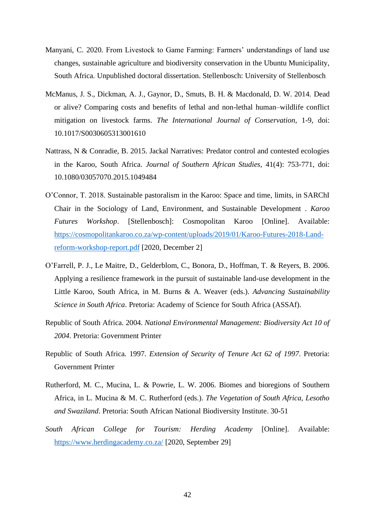- Manyani, C. 2020. From Livestock to Game Farming: Farmers' understandings of land use changes, sustainable agriculture and biodiversity conservation in the Ubuntu Municipality, South Africa. Unpublished doctoral dissertation. Stellenbosch: University of Stellenbosch
- McManus, J. S., Dickman, A. J., Gaynor, D., Smuts, B. H. & Macdonald, D. W. 2014. Dead or alive? Comparing costs and benefits of lethal and non-lethal human–wildlife conflict mitigation on livestock farms. *The International Journal of Conservation*, 1-9, doi: 10.1017/S0030605313001610
- Nattrass, N & Conradie, B. 2015. Jackal Narratives: Predator control and contested ecologies in the Karoo, South Africa. *Journal of Southern African Studies*, 41(4): 753-771, doi: 10.1080/03057070.2015.1049484
- O'Connor, T. 2018. Sustainable pastoralism in the Karoo: Space and time, limits, in SARChI Chair in the Sociology of Land, Environment, and Sustainable Development . *Karoo Futures Workshop*. [Stellenbosch]: Cosmopolitan Karoo [Online]. Available: [https://cosmopolitankaroo.co.za/wp-content/uploads/2019/01/Karoo-Futures-2018-Land](https://cosmopolitankaroo.co.za/wp-content/uploads/2019/01/Karoo-Futures-2018-Land-reform-workshop-report.pdf)[reform-workshop-report.pdf](https://cosmopolitankaroo.co.za/wp-content/uploads/2019/01/Karoo-Futures-2018-Land-reform-workshop-report.pdf) [2020, December 2]
- O'Farrell, P. J., Le Maitre, D., Gelderblom, C., Bonora, D., Hoffman, T. & Reyers, B. 2006. Applying a resilience framework in the pursuit of sustainable land-use development in the Little Karoo, South Africa, in M. Burns & A. Weaver (eds.). *Advancing Sustainability Science in South Africa*. Pretoria: Academy of Science for South Africa (ASSAf).
- Republic of South Africa. 2004. *National Environmental Management: Biodiversity Act 10 of 2004*. Pretoria: Government Printer
- Republic of South Africa. 1997. *Extension of Security of Tenure Act 62 of 1997*. Pretoria: Government Printer
- Rutherford, M. C., Mucina, L. & Powrie, L. W. 2006. Biomes and bioregions of Southern Africa, in L. Mucina & M. C. Rutherford (eds.). *The Vegetation of South Africa, Lesotho and Swaziland*. Pretoria: South African National Biodiversity Institute. 30-51
- *South African College for Tourism: Herding Academy* [Online]. Available: <https://www.herdingacademy.co.za/> [2020, September 29]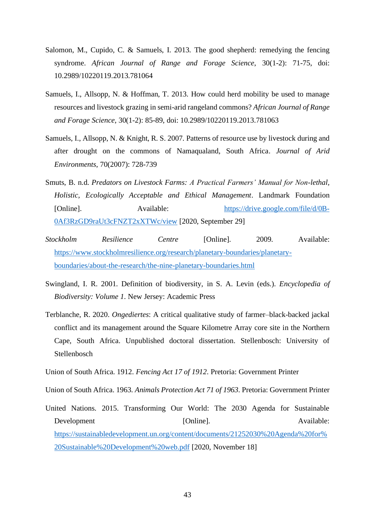- Salomon, M., Cupido, C. & Samuels, I. 2013. The good shepherd: remedying the fencing syndrome. *African Journal of Range and Forage Science*, 30(1-2): 71-75, doi: 10.2989/10220119.2013.781064
- Samuels, I., Allsopp, N. & Hoffman, T. 2013. How could herd mobility be used to manage resources and livestock grazing in semi-arid rangeland commons? *African Journal of Range and Forage Science*, 30(1-2): 85-89, doi: 10.2989/10220119.2013.781063
- Samuels, I., Allsopp, N. & Knight, R. S. 2007. Patterns of resource use by livestock during and after drought on the commons of Namaqualand, South Africa. *Journal of Arid Environments*, 70(2007): 728-739
- Smuts, B. n.d. *Predators on Livestock Farms: A Practical Farmers' Manual for Non-lethal, Holistic, Ecologically Acceptable and Ethical Management*. Landmark Foundation [Online]. Available: [https://drive.google.com/file/d/0B-](https://drive.google.com/file/d/0B-0Af3RzGD9raUt3cFNZT2xXTWc/view)[0Af3RzGD9raUt3cFNZT2xXTWc/view](https://drive.google.com/file/d/0B-0Af3RzGD9raUt3cFNZT2xXTWc/view) [2020, September 29]
- *Stockholm Resilience Centre* [Online]. 2009. Available: [https://www.stockholmresilience.org/research/planetary-boundaries/planetary](https://www.stockholmresilience.org/research/planetary-boundaries/planetary-boundaries/about-the-research/the-nine-planetary-boundaries.html)[boundaries/about-the-research/the-nine-planetary-boundaries.html](https://www.stockholmresilience.org/research/planetary-boundaries/planetary-boundaries/about-the-research/the-nine-planetary-boundaries.html)
- Swingland, I. R. 2001. Definition of biodiversity, in S. A. Levin (eds.). *Encyclopedia of Biodiversity: Volume 1*. New Jersey: Academic Press
- Terblanche, R. 2020. *Ongediertes*: A critical qualitative study of farmer–black-backed jackal conflict and its management around the Square Kilometre Array core site in the Northern Cape, South Africa. Unpublished doctoral dissertation. Stellenbosch: University of Stellenbosch
- Union of South Africa. 1912. *Fencing Act 17 of 1912*. Pretoria: Government Printer

Union of South Africa. 1963. *Animals Protection Act 71 of 1963*. Pretoria: Government Printer

United Nations. 2015. Transforming Our World: The 2030 Agenda for Sustainable Development [Online]. Available: [https://sustainabledevelopment.un.org/content/documents/21252030%20Agenda%20for%](https://sustainabledevelopment.un.org/content/documents/21252030%20Agenda%20for%20Sustainable%20Development%20web.pdf) [20Sustainable%20Development%20web.pdf](https://sustainabledevelopment.un.org/content/documents/21252030%20Agenda%20for%20Sustainable%20Development%20web.pdf) [2020, November 18]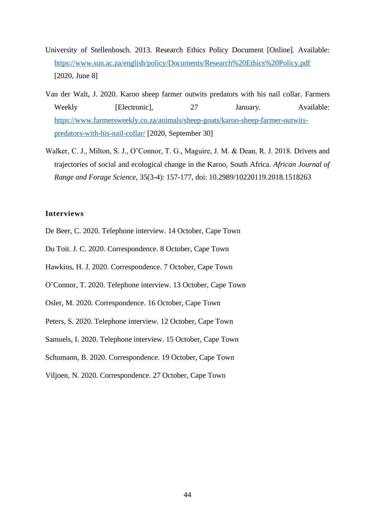- University of Stellenbosch. 2013. Research Ethics Policy Document [Online]. Available: <https://www.sun.ac.za/english/policy/Documents/Research%20Ethics%20Policy.pdf> [2020, June 8]
- Van der Walt, J. 2020. Karoo sheep farmer outwits predators with his nail collar. Farmers Weekly [Electronic], 27 January. Available: [https://www.farmersweekly.co.za/animals/sheep-goats/karoo-sheep-farmer-outwits](https://www.farmersweekly.co.za/animals/sheep-goats/karoo-sheep-farmer-outwits-predators-with-his-nail-collar/)[predators-with-his-nail-collar/](https://www.farmersweekly.co.za/animals/sheep-goats/karoo-sheep-farmer-outwits-predators-with-his-nail-collar/) [2020, September 30]
- Walker, C. J., Milton, S. J., O'Connor, T. G., Maguire, J. M. & Dean, R. J. 2018. Drivers and trajectories of social and ecological change in the Karoo, South Africa. *African Journal of Range and Forage Science*, 35(3-4): 157-177, doi: 10.2989/10220119.2018.1518263

#### <span id="page-49-0"></span>**Interviews**

- De Beer, C. 2020. Telephone interview. 14 October, Cape Town
- Du Toit. J. C. 2020. Correspondence. 8 October, Cape Town
- Hawkins, H. J. 2020. Correspondence. 7 October, Cape Town
- O'Connor, T. 2020. Telephone interview. 13 October, Cape Town
- Osler, M. 2020. Correspondence. 16 October, Cape Town
- Peters, S. 2020. Telephone interview. 12 October, Cape Town
- Samuels, I. 2020. Telephone interview. 15 October, Cape Town
- Schumann, B. 2020. Correspondence. 19 October, Cape Town
- Viljoen, N. 2020. Correspondence. 27 October, Cape Town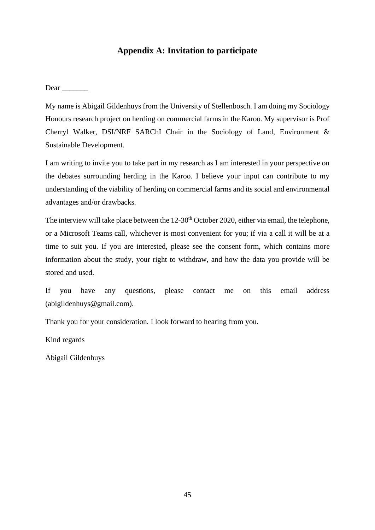## **Appendix A: Invitation to participate**

<span id="page-50-0"></span>Dear \_\_\_\_\_\_\_

My name is Abigail Gildenhuys from the University of Stellenbosch. I am doing my Sociology Honours research project on herding on commercial farms in the Karoo. My supervisor is Prof Cherryl Walker, DSI/NRF SARChI Chair in the Sociology of Land, Environment & Sustainable Development.

I am writing to invite you to take part in my research as I am interested in your perspective on the debates surrounding herding in the Karoo. I believe your input can contribute to my understanding of the viability of herding on commercial farms and its social and environmental advantages and/or drawbacks.

The interview will take place between the  $12{\text -}30^{\text{th}}$  October 2020, either via email, the telephone, or a Microsoft Teams call, whichever is most convenient for you; if via a call it will be at a time to suit you. If you are interested, please see the consent form, which contains more information about the study, your right to withdraw, and how the data you provide will be stored and used.

If you have any questions, please contact me on this email address (abigildenhuys@gmail.com).

Thank you for your consideration. I look forward to hearing from you.

Kind regards

Abigail Gildenhuys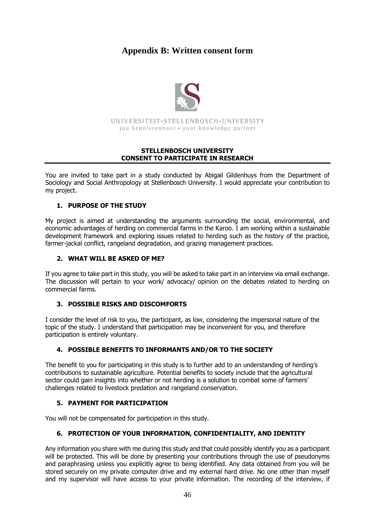## <span id="page-51-0"></span>**Appendix B: Written consent form**



UNIVERSITEIT.STELLENBOSCH.UNIVERSITY jou kennisvennoot · your knowledge partner

#### **STELLENBOSCH UNIVERSITY CONSENT TO PARTICIPATE IN RESEARCH**

You are invited to take part in a study conducted by Abigail Gildenhuys from the Department of Sociology and Social Anthropology at Stellenbosch University. I would appreciate your contribution to my project.

## **1. PURPOSE OF THE STUDY**

My project is aimed at understanding the arguments surrounding the social, environmental, and economic advantages of herding on commercial farms in the Karoo. I am working within a sustainable development framework and exploring issues related to herding such as the history of the practice, farmer-jackal conflict, rangeland degradation, and grazing management practices.

#### **2. WHAT WILL BE ASKED OF ME?**

If you agree to take part in this study, you will be asked to take part in an interview via email exchange. The discussion will pertain to your work/ advocacy/ opinion on the debates related to herding on commercial farms.

## **3. POSSIBLE RISKS AND DISCOMFORTS**

I consider the level of risk to you, the participant, as low, considering the impersonal nature of the topic of the study. I understand that participation may be inconvenient for you, and therefore participation is entirely voluntary.

## **4. POSSIBLE BENEFITS TO INFORMANTS AND/OR TO THE SOCIETY**

The benefit to you for participating in this study is to further add to an understanding of herding's contributions to sustainable agriculture. Potential benefits to society include that the agricultural sector could gain insights into whether or not herding is a solution to combat some of farmers' challenges related to livestock predation and rangeland conservation.

#### **5. PAYMENT FOR PARTICIPATION**

You will not be compensated for participation in this study.

#### **6. PROTECTION OF YOUR INFORMATION, CONFIDENTIALITY, AND IDENTITY**

Any information you share with me during this study and that could possibly identify you as a participant will be protected. This will be done by presenting your contributions through the use of pseudonyms and paraphrasing unless you explicitly agree to being identified. Any data obtained from you will be stored securely on my private computer drive and my external hard drive. No one other than myself and my supervisor will have access to your private information. The recording of the interview, if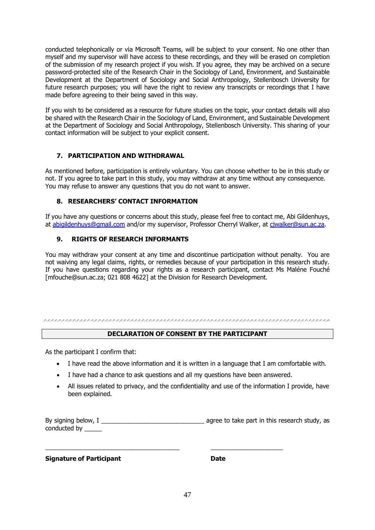conducted telephonically or via Microsoft Teams, will be subject to your consent. No one other than myself and my supervisor will have access to these recordings, and they will be erased on completion of the submission of my research project if you wish. If you agree, they may be archived on a secure password-protected site of the Research Chair in the Sociology of Land, Environment, and Sustainable Development at the Department of Sociology and Social Anthropology, Stellenbosch University for future research purposes; you will have the right to review any transcripts or recordings that I have made before agreeing to their being saved in this way.

If you wish to be considered as a resource for future studies on the topic, your contact details will also be shared with the Research Chair in the Sociology of Land, Environment, and Sustainable Development at the Department of Sociology and Social Anthropology, Stellenbosch University. This sharing of your contact information will be subject to your explicit consent.

#### **7. PARTICIPATION AND WITHDRAWAL**

As mentioned before, participation is entirely voluntary. You can choose whether to be in this study or not. If you agree to take part in this study, you may withdraw at any time without any consequence. You may refuse to answer any questions that you do not want to answer.

#### **8. RESEARCHERS' CONTACT INFORMATION**

If you have any questions or concerns about this study, please feel free to contact me, Abi Gildenhuys, at [abigildenhuys@gmail.com](mailto:abigildenhuys@gmail.com) and/or my supervisor, Professor Cherryl Walker, at [cjwalker@sun.ac.za.](mailto:cjwalker@sun.ac.za)

#### **9. RIGHTS OF RESEARCH INFORMANTS**

You may withdraw your consent at any time and discontinue participation without penalty. You are not waiving any legal claims, rights, or remedies because of your participation in this research study. If you have questions regarding your rights as a research participant, contact Ms Maléne Fouché [mfouche@sun.ac.za; 021 808 4622] at the Division for Research Development.

## **DECLARATION OF CONSENT BY THE PARTICIPANT**

As the participant I confirm that:

- I have read the above information and it is written in a language that I am comfortable with.
- I have had a chance to ask questions and all my questions have been answered.

\_\_\_\_\_\_\_\_\_\_\_\_\_\_\_\_\_\_\_\_\_\_\_\_\_\_\_\_\_\_\_\_\_\_\_\_\_\_\_ \_\_\_\_\_\_\_\_\_\_\_\_\_\_\_\_\_\_\_\_\_

• All issues related to privacy, and the confidentiality and use of the information I provide, have been explained.

By signing below, I \_\_\_\_\_\_\_\_\_\_\_\_\_\_\_\_\_\_\_\_\_\_\_\_\_\_\_\_\_\_ agree to take part in this research study, as conducted by \_\_\_\_\_

**Signature of Participant Date**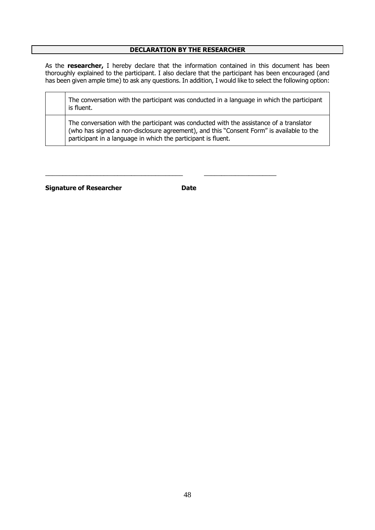#### **DECLARATION BY THE RESEARCHER**

As the **researcher,** I hereby declare that the information contained in this document has been thoroughly explained to the participant. I also declare that the participant has been encouraged (and has been given ample time) to ask any questions. In addition, I would like to select the following option:

| The conversation with the participant was conducted in a language in which the participant<br>is fluent.                                                                                                                                             |
|------------------------------------------------------------------------------------------------------------------------------------------------------------------------------------------------------------------------------------------------------|
| The conversation with the participant was conducted with the assistance of a translator<br>(who has signed a non-disclosure agreement), and this "Consent Form" is available to the<br>participant in a language in which the participant is fluent. |

**Signature of Researcher Date** 

\_\_\_\_\_\_\_\_\_\_\_\_\_\_\_\_\_\_\_\_\_\_\_\_\_\_\_\_\_\_\_\_\_\_\_\_\_\_\_\_ \_\_\_\_\_\_\_\_\_\_\_\_\_\_\_\_\_\_\_\_\_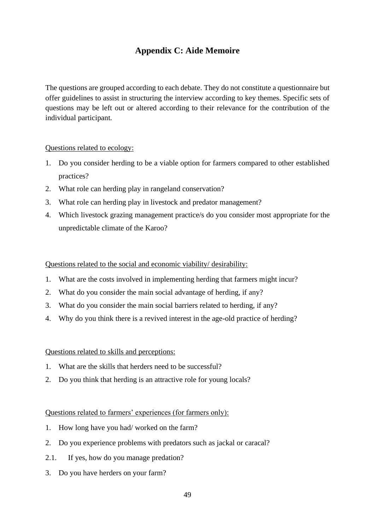## **Appendix C: Aide Memoire**

<span id="page-54-0"></span>The questions are grouped according to each debate. They do not constitute a questionnaire but offer guidelines to assist in structuring the interview according to key themes. Specific sets of questions may be left out or altered according to their relevance for the contribution of the individual participant.

## Questions related to ecology:

- 1. Do you consider herding to be a viable option for farmers compared to other established practices?
- 2. What role can herding play in rangeland conservation?
- 3. What role can herding play in livestock and predator management?
- 4. Which livestock grazing management practice/s do you consider most appropriate for the unpredictable climate of the Karoo?

Questions related to the social and economic viability/ desirability:

- 1. What are the costs involved in implementing herding that farmers might incur?
- 2. What do you consider the main social advantage of herding, if any?
- 3. What do you consider the main social barriers related to herding, if any?
- 4. Why do you think there is a revived interest in the age-old practice of herding?

## Questions related to skills and perceptions:

- 1. What are the skills that herders need to be successful?
- 2. Do you think that herding is an attractive role for young locals?

## Questions related to farmers' experiences (for farmers only):

- 1. How long have you had/ worked on the farm?
- 2. Do you experience problems with predators such as jackal or caracal?
- 2.1. If yes, how do you manage predation?
- 3. Do you have herders on your farm?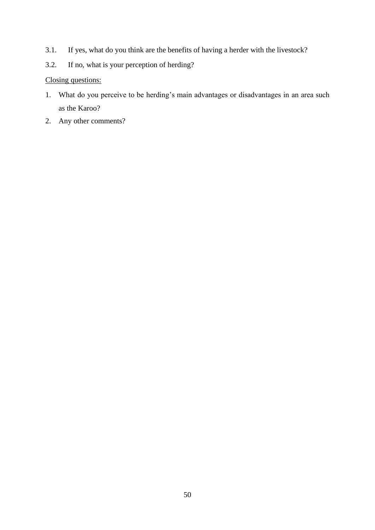- 3.1. If yes, what do you think are the benefits of having a herder with the livestock?
- 3.2. If no, what is your perception of herding?

## Closing questions:

- 1. What do you perceive to be herding's main advantages or disadvantages in an area such as the Karoo?
- 2. Any other comments?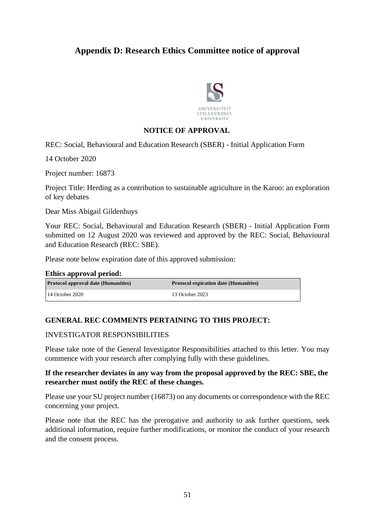## <span id="page-56-0"></span>**Appendix D: Research Ethics Committee notice of approval**



## **NOTICE OF APPROVAL**

REC: Social, Behavioural and Education Research (SBER) - Initial Application Form

14 October 2020

Project number: 16873

Project Title: Herding as a contribution to sustainable agriculture in the Karoo: an exploration of key debates

Dear Miss Abigail Gildenhuys

Your REC: Social, Behavioural and Education Research (SBER) - Initial Application Form submitted on 12 August 2020 was reviewed and approved by the REC: Social, Behavioural and Education Research (REC: SBE).

Please note below expiration date of this approved submission:

#### **Ethics approval period:**

| <b>Protocol approval date (Humanities)</b> | <b>Protocol expiration date (Humanities)</b> |
|--------------------------------------------|----------------------------------------------|
| $14$ October 2020                          | 13 October 2023                              |

## **GENERAL REC COMMENTS PERTAINING TO THIS PROJECT:**

## INVESTIGATOR RESPONSIBILITIES

Please take note of the General Investigator Responsibilities attached to this letter. You may commence with your research after complying fully with these guidelines.

## **If the researcher deviates in any way from the proposal approved by the REC: SBE, the researcher must notify the REC of these changes.**

Please use your SU project number (16873) on any documents or correspondence with the REC concerning your project.

Please note that the REC has the prerogative and authority to ask further questions, seek additional information, require further modifications, or monitor the conduct of your research and the consent process.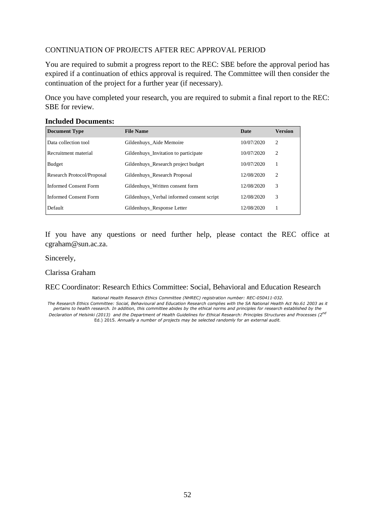## CONTINUATION OF PROJECTS AFTER REC APPROVAL PERIOD

You are required to submit a progress report to the REC: SBE before the approval period has expired if a continuation of ethics approval is required. The Committee will then consider the continuation of the project for a further year (if necessary).

Once you have completed your research, you are required to submit a final report to the REC: SBE for review.

| <b>Document Type</b>       | <b>File Name</b>                          | Date       | <b>Version</b> |
|----------------------------|-------------------------------------------|------------|----------------|
| Data collection tool       | Gildenhuys Aide Memoire                   | 10/07/2020 | 2              |
| Recruitment material       | Gildenhuys Invitation to participate      | 10/07/2020 | $\overline{2}$ |
| Budget                     | Gildenhuys Research project budget        | 10/07/2020 |                |
| Research Protocol/Proposal | Gildenhuys Research Proposal              | 12/08/2020 | $\overline{c}$ |
| Informed Consent Form      | Gildenhuys Written consent form           | 12/08/2020 | 3              |
| Informed Consent Form      | Gildenhuys Verbal informed consent script | 12/08/2020 | 3              |
| Default                    | Gildenhuys_Response Letter                | 12/08/2020 |                |

## **Included Documents:**

If you have any questions or need further help, please contact the REC office at cgraham@sun.ac.za.

#### Sincerely,

Clarissa Graham

REC Coordinator: Research Ethics Committee: Social, Behavioral and Education Research

*National Health Research Ethics Committee (NHREC) registration number: REC-050411-032.*

*The Research Ethics Committee: Social, Behavioural and Education Research complies with the SA National Health Act No.61 2003 as it pertains to health research. In addition, this committee abides by the ethical norms and principles for research established by the Declaration of Helsinki (2013) and the Department of Health Guidelines for Ethical Research: Principles Structures and Processes (2nd* Ed.) 2015. *Annually a number of projects may be selected randomly for an external audit.*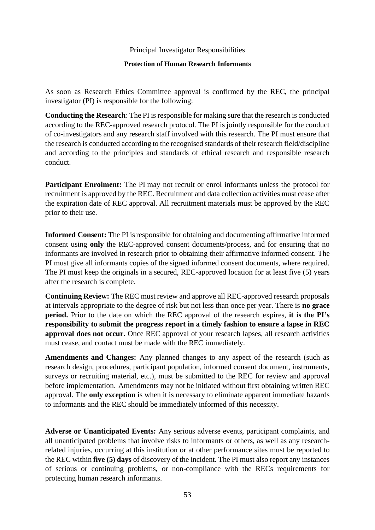Principal Investigator Responsibilities

### **Protection of Human Research Informants**

As soon as Research Ethics Committee approval is confirmed by the REC, the principal investigator (PI) is responsible for the following:

**Conducting the Research**: The PI is responsible for making sure that the research is conducted according to the REC-approved research protocol. The PI is jointly responsible for the conduct of co-investigators and any research staff involved with this research. The PI must ensure that the research is conducted according to the recognised standards of their research field/discipline and according to the principles and standards of ethical research and responsible research conduct.

**Participant Enrolment:** The PI may not recruit or enrol informants unless the protocol for recruitment is approved by the REC. Recruitment and data collection activities must cease after the expiration date of REC approval. All recruitment materials must be approved by the REC prior to their use.

**Informed Consent:** The PI isresponsible for obtaining and documenting affirmative informed consent using **only** the REC-approved consent documents/process, and for ensuring that no informants are involved in research prior to obtaining their affirmative informed consent. The PI must give all informants copies of the signed informed consent documents, where required. The PI must keep the originals in a secured, REC-approved location for at least five (5) years after the research is complete.

**Continuing Review:** The REC must review and approve all REC-approved research proposals at intervals appropriate to the degree of risk but not less than once per year. There is **no grace period.** Prior to the date on which the REC approval of the research expires, **it is the PI's responsibility to submit the progress report in a timely fashion to ensure a lapse in REC approval does not occur.** Once REC approval of your research lapses, all research activities must cease, and contact must be made with the REC immediately.

**Amendments and Changes:** Any planned changes to any aspect of the research (such as research design, procedures, participant population, informed consent document, instruments, surveys or recruiting material, etc.), must be submitted to the REC for review and approval before implementation. Amendments may not be initiated without first obtaining written REC approval. The **only exception** is when it is necessary to eliminate apparent immediate hazards to informants and the REC should be immediately informed of this necessity.

**Adverse or Unanticipated Events:** Any serious adverse events, participant complaints, and all unanticipated problems that involve risks to informants or others, as well as any researchrelated injuries, occurring at this institution or at other performance sites must be reported to the REC within **five (5) days** of discovery of the incident. The PI must also report any instances of serious or continuing problems, or non-compliance with the RECs requirements for protecting human research informants.